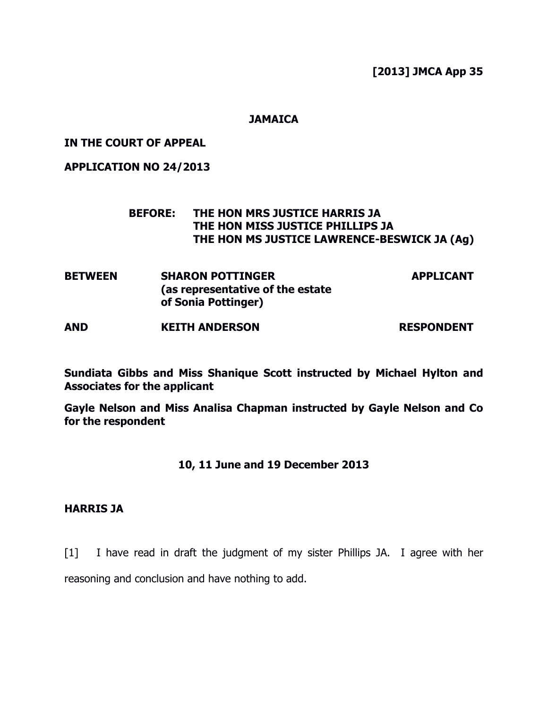[2013] JMCA App 35

## **JAMAICA**

## IN THE COURT OF APPEAL

### APPLICATION NO 24/2013

# BEFORE: THE HON MRS JUSTICE HARRIS JA THE HON MISS JUSTICE PHILLIPS JA THE HON MS JUSTICE LAWRENCE-BESWICK JA (Ag)

| <b>BETWEEN</b> | <b>SHARON POTTINGER</b>          | <b>APPLICANT</b> |
|----------------|----------------------------------|------------------|
|                | (as representative of the estate |                  |
|                | of Sonia Pottinger)              |                  |

AND KEITH ANDERSON RESPONDENT

Sundiata Gibbs and Miss Shanique Scott instructed by Michael Hylton and Associates for the applicant

Gayle Nelson and Miss Analisa Chapman instructed by Gayle Nelson and Co for the respondent

# 10, 11 June and 19 December 2013

# HARRIS JA

[1] I have read in draft the judgment of my sister Phillips JA. I agree with her reasoning and conclusion and have nothing to add.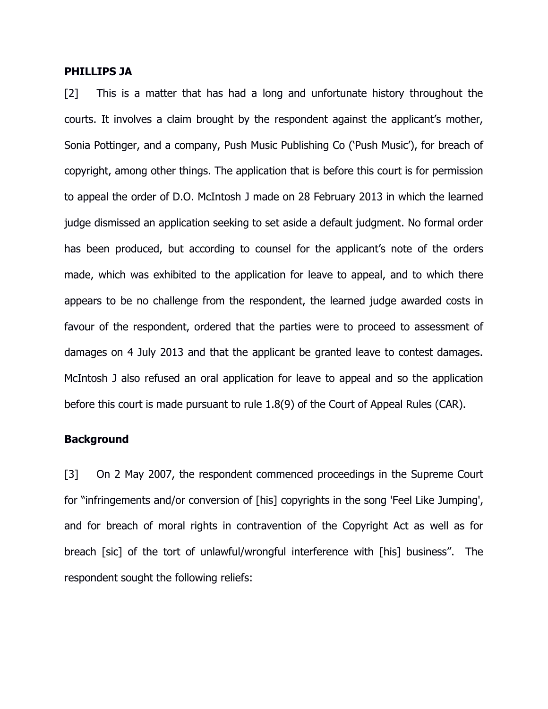### PHILLIPS JA

[2] This is a matter that has had a long and unfortunate history throughout the courts. It involves a claim brought by the respondent against the applicant's mother, Sonia Pottinger, and a company, Push Music Publishing Co ('Push Music'), for breach of copyright, among other things. The application that is before this court is for permission to appeal the order of D.O. McIntosh J made on 28 February 2013 in which the learned judge dismissed an application seeking to set aside a default judgment. No formal order has been produced, but according to counsel for the applicant's note of the orders made, which was exhibited to the application for leave to appeal, and to which there appears to be no challenge from the respondent, the learned judge awarded costs in favour of the respondent, ordered that the parties were to proceed to assessment of damages on 4 July 2013 and that the applicant be granted leave to contest damages. McIntosh J also refused an oral application for leave to appeal and so the application before this court is made pursuant to rule 1.8(9) of the Court of Appeal Rules (CAR).

### **Background**

[3] On 2 May 2007, the respondent commenced proceedings in the Supreme Court for "infringements and/or conversion of [his] copyrights in the song 'Feel Like Jumping', and for breach of moral rights in contravention of the Copyright Act as well as for breach [sic] of the tort of unlawful/wrongful interference with [his] business". The respondent sought the following reliefs: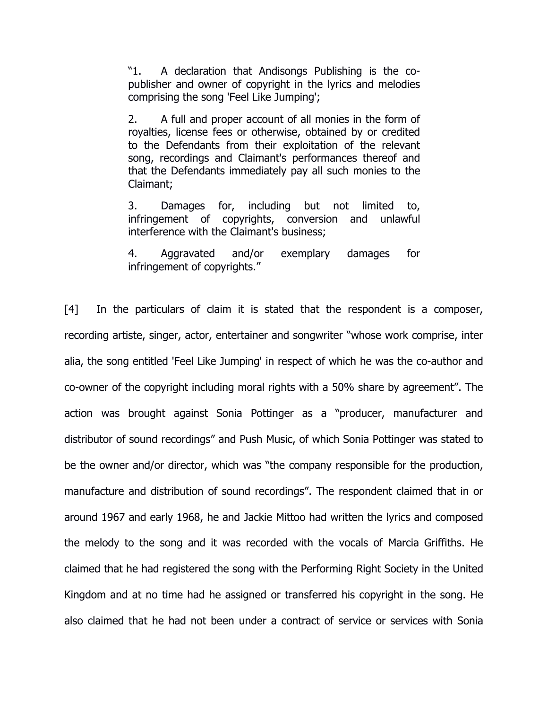"1. A declaration that Andisongs Publishing is the copublisher and owner of copyright in the lyrics and melodies comprising the song 'Feel Like Jumping';

2. A full and proper account of all monies in the form of royalties, license fees or otherwise, obtained by or credited to the Defendants from their exploitation of the relevant song, recordings and Claimant's performances thereof and that the Defendants immediately pay all such monies to the Claimant;

3. Damages for, including but not limited to, infringement of copyrights, conversion and unlawful interference with the Claimant's business;

4. Aggravated and/or exemplary damages for infringement of copyrights."

[4] In the particulars of claim it is stated that the respondent is a composer, recording artiste, singer, actor, entertainer and songwriter "whose work comprise, inter alia, the song entitled 'Feel Like Jumping' in respect of which he was the co-author and co-owner of the copyright including moral rights with a 50% share by agreement". The action was brought against Sonia Pottinger as a "producer, manufacturer and distributor of sound recordings" and Push Music, of which Sonia Pottinger was stated to be the owner and/or director, which was "the company responsible for the production, manufacture and distribution of sound recordings". The respondent claimed that in or around 1967 and early 1968, he and Jackie Mittoo had written the lyrics and composed the melody to the song and it was recorded with the vocals of Marcia Griffiths. He claimed that he had registered the song with the Performing Right Society in the United Kingdom and at no time had he assigned or transferred his copyright in the song. He also claimed that he had not been under a contract of service or services with Sonia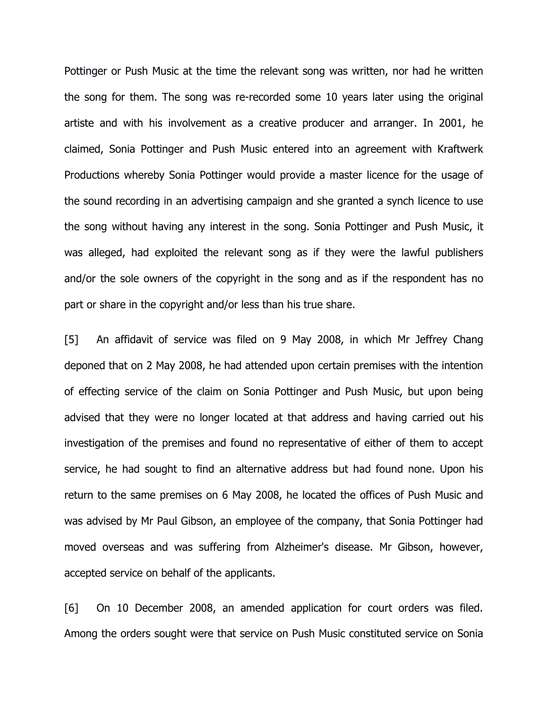Pottinger or Push Music at the time the relevant song was written, nor had he written the song for them. The song was re-recorded some 10 years later using the original artiste and with his involvement as a creative producer and arranger. In 2001, he claimed, Sonia Pottinger and Push Music entered into an agreement with Kraftwerk Productions whereby Sonia Pottinger would provide a master licence for the usage of the sound recording in an advertising campaign and she granted a synch licence to use the song without having any interest in the song. Sonia Pottinger and Push Music, it was alleged, had exploited the relevant song as if they were the lawful publishers and/or the sole owners of the copyright in the song and as if the respondent has no part or share in the copyright and/or less than his true share.

[5] An affidavit of service was filed on 9 May 2008, in which Mr Jeffrey Chang deponed that on 2 May 2008, he had attended upon certain premises with the intention of effecting service of the claim on Sonia Pottinger and Push Music, but upon being advised that they were no longer located at that address and having carried out his investigation of the premises and found no representative of either of them to accept service, he had sought to find an alternative address but had found none. Upon his return to the same premises on 6 May 2008, he located the offices of Push Music and was advised by Mr Paul Gibson, an employee of the company, that Sonia Pottinger had moved overseas and was suffering from Alzheimer's disease. Mr Gibson, however, accepted service on behalf of the applicants.

[6] On 10 December 2008, an amended application for court orders was filed. Among the orders sought were that service on Push Music constituted service on Sonia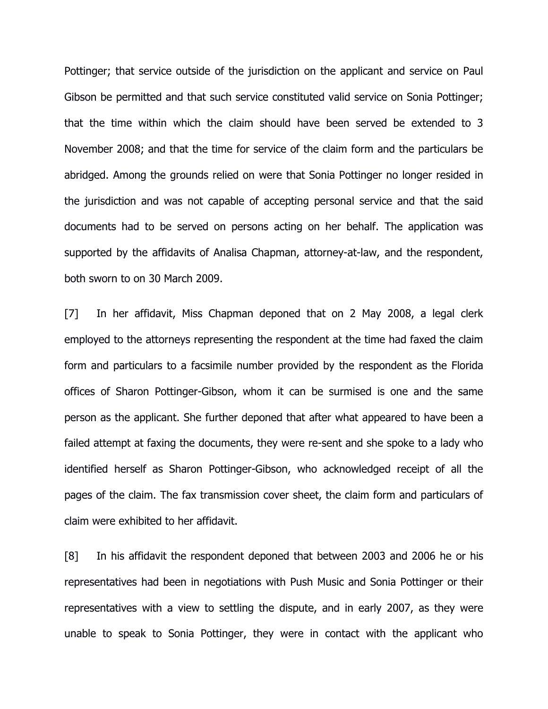Pottinger; that service outside of the jurisdiction on the applicant and service on Paul Gibson be permitted and that such service constituted valid service on Sonia Pottinger; that the time within which the claim should have been served be extended to 3 November 2008; and that the time for service of the claim form and the particulars be abridged. Among the grounds relied on were that Sonia Pottinger no longer resided in the jurisdiction and was not capable of accepting personal service and that the said documents had to be served on persons acting on her behalf. The application was supported by the affidavits of Analisa Chapman, attorney-at-law, and the respondent, both sworn to on 30 March 2009.

[7] In her affidavit, Miss Chapman deponed that on 2 May 2008, a legal clerk employed to the attorneys representing the respondent at the time had faxed the claim form and particulars to a facsimile number provided by the respondent as the Florida offices of Sharon Pottinger-Gibson, whom it can be surmised is one and the same person as the applicant. She further deponed that after what appeared to have been a failed attempt at faxing the documents, they were re-sent and she spoke to a lady who identified herself as Sharon Pottinger-Gibson, who acknowledged receipt of all the pages of the claim. The fax transmission cover sheet, the claim form and particulars of claim were exhibited to her affidavit.

[8] In his affidavit the respondent deponed that between 2003 and 2006 he or his representatives had been in negotiations with Push Music and Sonia Pottinger or their representatives with a view to settling the dispute, and in early 2007, as they were unable to speak to Sonia Pottinger, they were in contact with the applicant who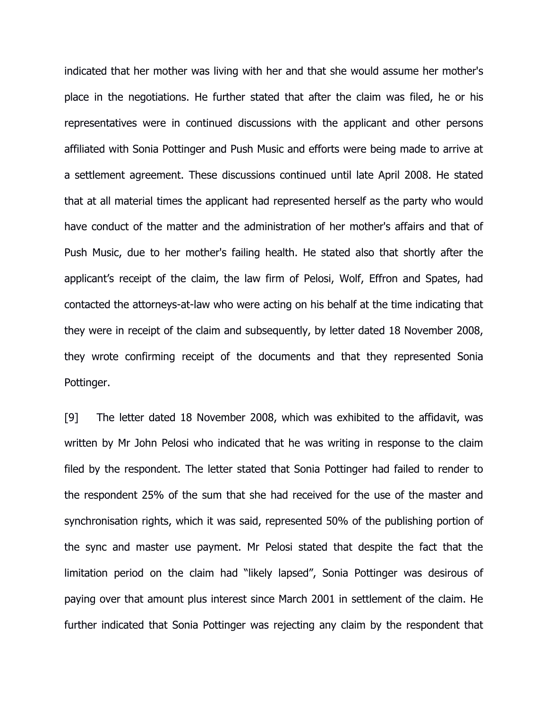indicated that her mother was living with her and that she would assume her mother's place in the negotiations. He further stated that after the claim was filed, he or his representatives were in continued discussions with the applicant and other persons affiliated with Sonia Pottinger and Push Music and efforts were being made to arrive at a settlement agreement. These discussions continued until late April 2008. He stated that at all material times the applicant had represented herself as the party who would have conduct of the matter and the administration of her mother's affairs and that of Push Music, due to her mother's failing health. He stated also that shortly after the applicant's receipt of the claim, the law firm of Pelosi, Wolf, Effron and Spates, had contacted the attorneys-at-law who were acting on his behalf at the time indicating that they were in receipt of the claim and subsequently, by letter dated 18 November 2008, they wrote confirming receipt of the documents and that they represented Sonia Pottinger.

[9] The letter dated 18 November 2008, which was exhibited to the affidavit, was written by Mr John Pelosi who indicated that he was writing in response to the claim filed by the respondent. The letter stated that Sonia Pottinger had failed to render to the respondent 25% of the sum that she had received for the use of the master and synchronisation rights, which it was said, represented 50% of the publishing portion of the sync and master use payment. Mr Pelosi stated that despite the fact that the limitation period on the claim had "likely lapsed", Sonia Pottinger was desirous of paying over that amount plus interest since March 2001 in settlement of the claim. He further indicated that Sonia Pottinger was rejecting any claim by the respondent that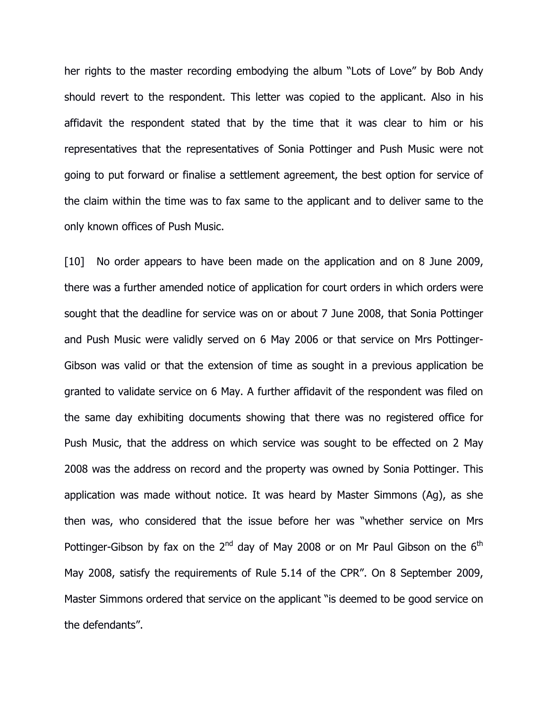her rights to the master recording embodying the album "Lots of Love" by Bob Andy should revert to the respondent. This letter was copied to the applicant. Also in his affidavit the respondent stated that by the time that it was clear to him or his representatives that the representatives of Sonia Pottinger and Push Music were not going to put forward or finalise a settlement agreement, the best option for service of the claim within the time was to fax same to the applicant and to deliver same to the only known offices of Push Music.

[10] No order appears to have been made on the application and on 8 June 2009, there was a further amended notice of application for court orders in which orders were sought that the deadline for service was on or about 7 June 2008, that Sonia Pottinger and Push Music were validly served on 6 May 2006 or that service on Mrs Pottinger-Gibson was valid or that the extension of time as sought in a previous application be granted to validate service on 6 May. A further affidavit of the respondent was filed on the same day exhibiting documents showing that there was no registered office for Push Music, that the address on which service was sought to be effected on 2 May 2008 was the address on record and the property was owned by Sonia Pottinger. This application was made without notice. It was heard by Master Simmons (Ag), as she then was, who considered that the issue before her was "whether service on Mrs Pottinger-Gibson by fax on the  $2^{nd}$  day of May 2008 or on Mr Paul Gibson on the  $6^{th}$ May 2008, satisfy the requirements of Rule 5.14 of the CPR". On 8 September 2009, Master Simmons ordered that service on the applicant "is deemed to be good service on the defendants".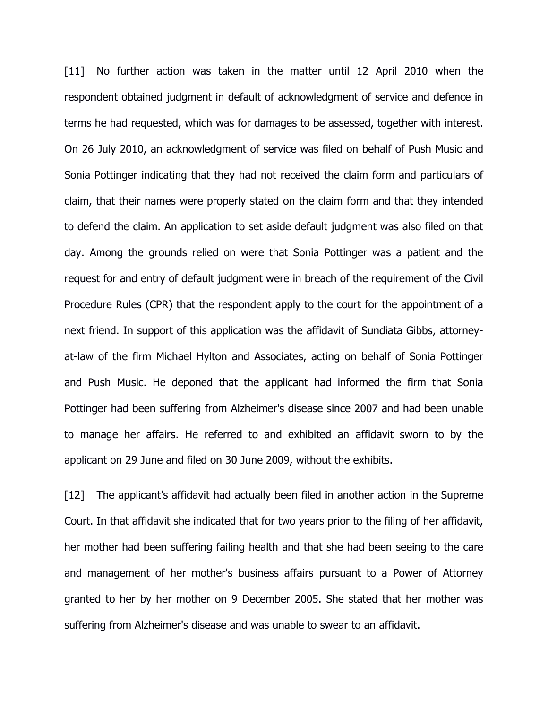[11] No further action was taken in the matter until 12 April 2010 when the respondent obtained judgment in default of acknowledgment of service and defence in terms he had requested, which was for damages to be assessed, together with interest. On 26 July 2010, an acknowledgment of service was filed on behalf of Push Music and Sonia Pottinger indicating that they had not received the claim form and particulars of claim, that their names were properly stated on the claim form and that they intended to defend the claim. An application to set aside default judgment was also filed on that day. Among the grounds relied on were that Sonia Pottinger was a patient and the request for and entry of default judgment were in breach of the requirement of the Civil Procedure Rules (CPR) that the respondent apply to the court for the appointment of a next friend. In support of this application was the affidavit of Sundiata Gibbs, attorneyat-law of the firm Michael Hylton and Associates, acting on behalf of Sonia Pottinger and Push Music. He deponed that the applicant had informed the firm that Sonia Pottinger had been suffering from Alzheimer's disease since 2007 and had been unable to manage her affairs. He referred to and exhibited an affidavit sworn to by the applicant on 29 June and filed on 30 June 2009, without the exhibits.

[12] The applicant's affidavit had actually been filed in another action in the Supreme Court. In that affidavit she indicated that for two years prior to the filing of her affidavit, her mother had been suffering failing health and that she had been seeing to the care and management of her mother's business affairs pursuant to a Power of Attorney granted to her by her mother on 9 December 2005. She stated that her mother was suffering from Alzheimer's disease and was unable to swear to an affidavit.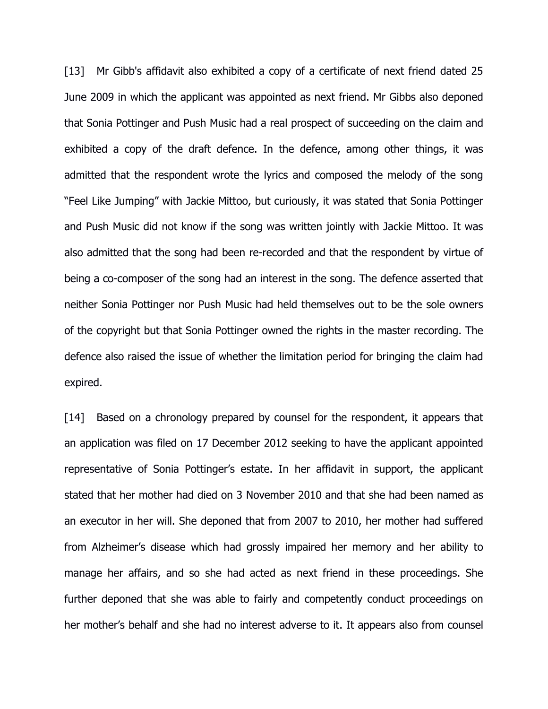[13] Mr Gibb's affidavit also exhibited a copy of a certificate of next friend dated 25 June 2009 in which the applicant was appointed as next friend. Mr Gibbs also deponed that Sonia Pottinger and Push Music had a real prospect of succeeding on the claim and exhibited a copy of the draft defence. In the defence, among other things, it was admitted that the respondent wrote the lyrics and composed the melody of the song "Feel Like Jumping" with Jackie Mittoo, but curiously, it was stated that Sonia Pottinger and Push Music did not know if the song was written jointly with Jackie Mittoo. It was also admitted that the song had been re-recorded and that the respondent by virtue of being a co-composer of the song had an interest in the song. The defence asserted that neither Sonia Pottinger nor Push Music had held themselves out to be the sole owners of the copyright but that Sonia Pottinger owned the rights in the master recording. The defence also raised the issue of whether the limitation period for bringing the claim had expired.

[14] Based on a chronology prepared by counsel for the respondent, it appears that an application was filed on 17 December 2012 seeking to have the applicant appointed representative of Sonia Pottinger's estate. In her affidavit in support, the applicant stated that her mother had died on 3 November 2010 and that she had been named as an executor in her will. She deponed that from 2007 to 2010, her mother had suffered from Alzheimer's disease which had grossly impaired her memory and her ability to manage her affairs, and so she had acted as next friend in these proceedings. She further deponed that she was able to fairly and competently conduct proceedings on her mother's behalf and she had no interest adverse to it. It appears also from counsel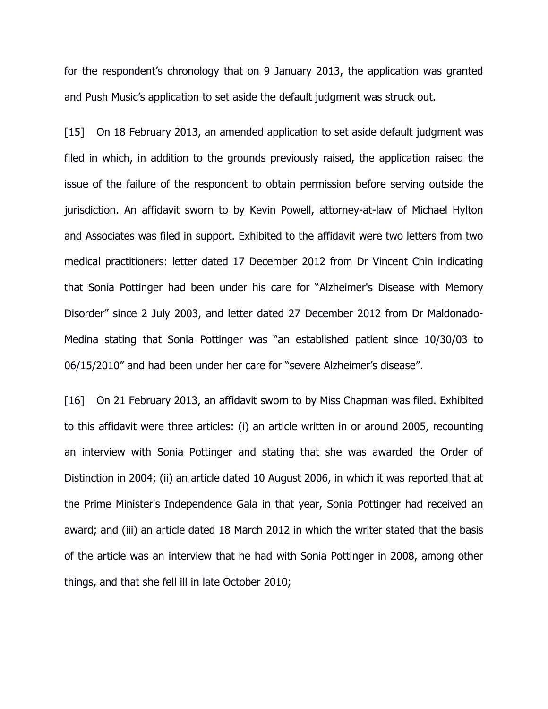for the respondent's chronology that on 9 January 2013, the application was granted and Push Music's application to set aside the default judgment was struck out.

[15] On 18 February 2013, an amended application to set aside default judgment was filed in which, in addition to the grounds previously raised, the application raised the issue of the failure of the respondent to obtain permission before serving outside the jurisdiction. An affidavit sworn to by Kevin Powell, attorney-at-law of Michael Hylton and Associates was filed in support. Exhibited to the affidavit were two letters from two medical practitioners: letter dated 17 December 2012 from Dr Vincent Chin indicating that Sonia Pottinger had been under his care for "Alzheimer's Disease with Memory Disorder" since 2 July 2003, and letter dated 27 December 2012 from Dr Maldonado-Medina stating that Sonia Pottinger was "an established patient since 10/30/03 to 06/15/2010" and had been under her care for "severe Alzheimer's disease".

[16] On 21 February 2013, an affidavit sworn to by Miss Chapman was filed. Exhibited to this affidavit were three articles: (i) an article written in or around 2005, recounting an interview with Sonia Pottinger and stating that she was awarded the Order of Distinction in 2004; (ii) an article dated 10 August 2006, in which it was reported that at the Prime Minister's Independence Gala in that year, Sonia Pottinger had received an award; and (iii) an article dated 18 March 2012 in which the writer stated that the basis of the article was an interview that he had with Sonia Pottinger in 2008, among other things, and that she fell ill in late October 2010;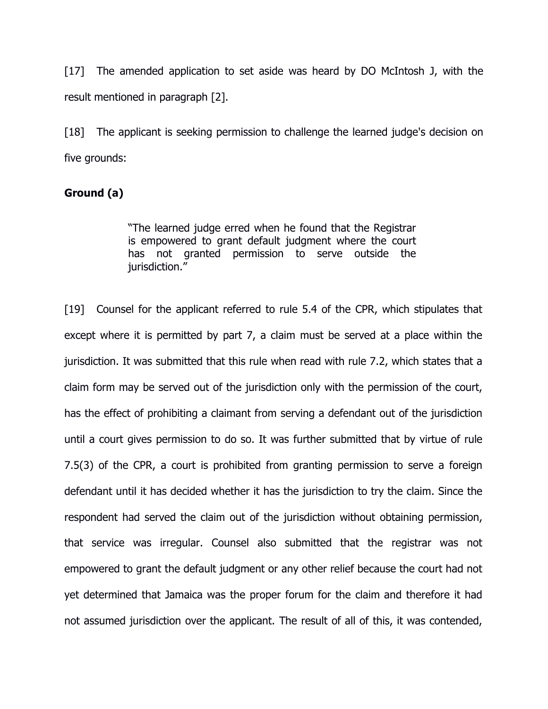[17] The amended application to set aside was heard by DO McIntosh J, with the result mentioned in paragraph [2].

[18] The applicant is seeking permission to challenge the learned judge's decision on five grounds:

## Ground (a)

"The learned judge erred when he found that the Registrar is empowered to grant default judgment where the court has not granted permission to serve outside the iurisdiction."

[19] Counsel for the applicant referred to rule 5.4 of the CPR, which stipulates that except where it is permitted by part 7, a claim must be served at a place within the jurisdiction. It was submitted that this rule when read with rule 7.2, which states that a claim form may be served out of the jurisdiction only with the permission of the court, has the effect of prohibiting a claimant from serving a defendant out of the jurisdiction until a court gives permission to do so. It was further submitted that by virtue of rule 7.5(3) of the CPR, a court is prohibited from granting permission to serve a foreign defendant until it has decided whether it has the jurisdiction to try the claim. Since the respondent had served the claim out of the jurisdiction without obtaining permission, that service was irregular. Counsel also submitted that the registrar was not empowered to grant the default judgment or any other relief because the court had not yet determined that Jamaica was the proper forum for the claim and therefore it had not assumed jurisdiction over the applicant. The result of all of this, it was contended,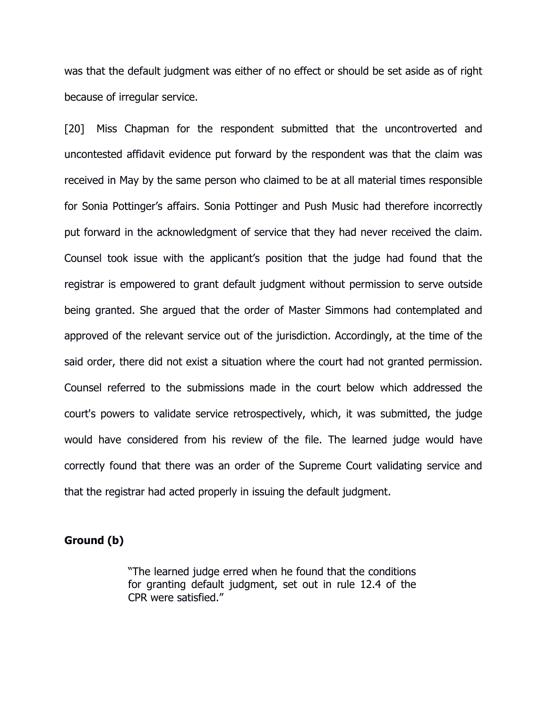was that the default judgment was either of no effect or should be set aside as of right because of irregular service.

[20] Miss Chapman for the respondent submitted that the uncontroverted and uncontested affidavit evidence put forward by the respondent was that the claim was received in May by the same person who claimed to be at all material times responsible for Sonia Pottinger's affairs. Sonia Pottinger and Push Music had therefore incorrectly put forward in the acknowledgment of service that they had never received the claim. Counsel took issue with the applicant's position that the judge had found that the registrar is empowered to grant default judgment without permission to serve outside being granted. She argued that the order of Master Simmons had contemplated and approved of the relevant service out of the jurisdiction. Accordingly, at the time of the said order, there did not exist a situation where the court had not granted permission. Counsel referred to the submissions made in the court below which addressed the court's powers to validate service retrospectively, which, it was submitted, the judge would have considered from his review of the file. The learned judge would have correctly found that there was an order of the Supreme Court validating service and that the registrar had acted properly in issuing the default judgment.

## Ground (b)

"The learned judge erred when he found that the conditions for granting default judgment, set out in rule 12.4 of the CPR were satisfied."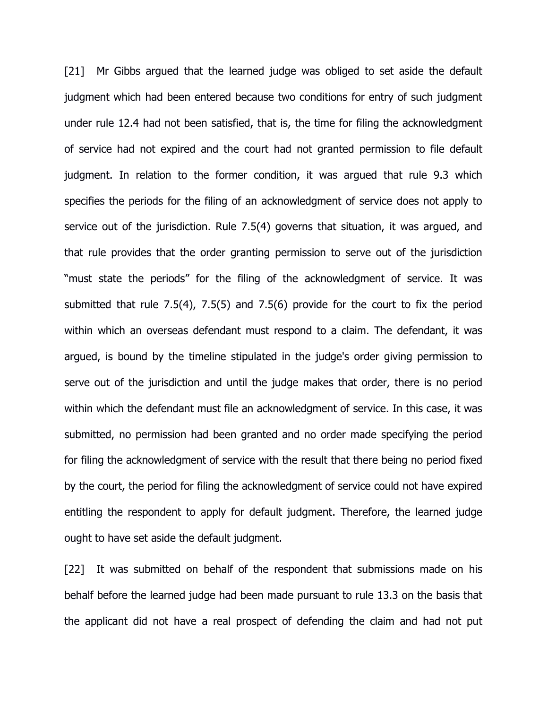[21] Mr Gibbs argued that the learned judge was obliged to set aside the default judgment which had been entered because two conditions for entry of such judgment under rule 12.4 had not been satisfied, that is, the time for filing the acknowledgment of service had not expired and the court had not granted permission to file default judgment. In relation to the former condition, it was argued that rule 9.3 which specifies the periods for the filing of an acknowledgment of service does not apply to service out of the jurisdiction. Rule 7.5(4) governs that situation, it was argued, and that rule provides that the order granting permission to serve out of the jurisdiction "must state the periods" for the filing of the acknowledgment of service. It was submitted that rule 7.5(4), 7.5(5) and 7.5(6) provide for the court to fix the period within which an overseas defendant must respond to a claim. The defendant, it was argued, is bound by the timeline stipulated in the judge's order giving permission to serve out of the jurisdiction and until the judge makes that order, there is no period within which the defendant must file an acknowledgment of service. In this case, it was submitted, no permission had been granted and no order made specifying the period for filing the acknowledgment of service with the result that there being no period fixed by the court, the period for filing the acknowledgment of service could not have expired entitling the respondent to apply for default judgment. Therefore, the learned judge ought to have set aside the default judgment.

[22] It was submitted on behalf of the respondent that submissions made on his behalf before the learned judge had been made pursuant to rule 13.3 on the basis that the applicant did not have a real prospect of defending the claim and had not put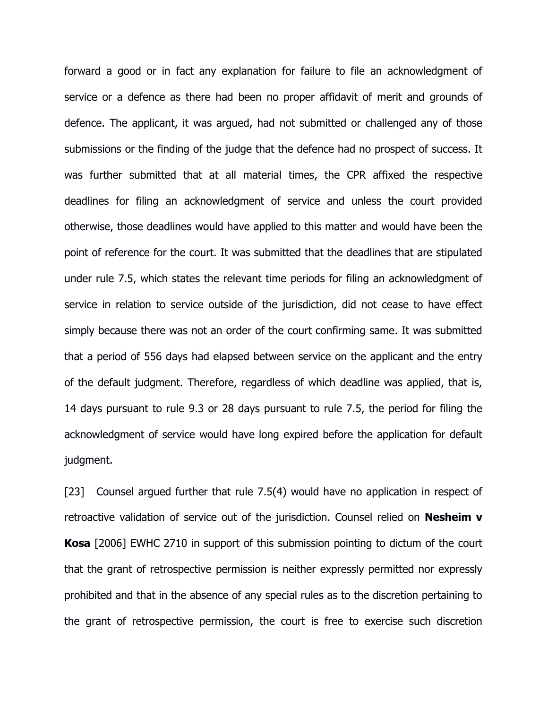forward a good or in fact any explanation for failure to file an acknowledgment of service or a defence as there had been no proper affidavit of merit and grounds of defence. The applicant, it was argued, had not submitted or challenged any of those submissions or the finding of the judge that the defence had no prospect of success. It was further submitted that at all material times, the CPR affixed the respective deadlines for filing an acknowledgment of service and unless the court provided otherwise, those deadlines would have applied to this matter and would have been the point of reference for the court. It was submitted that the deadlines that are stipulated under rule 7.5, which states the relevant time periods for filing an acknowledgment of service in relation to service outside of the jurisdiction, did not cease to have effect simply because there was not an order of the court confirming same. It was submitted that a period of 556 days had elapsed between service on the applicant and the entry of the default judgment. Therefore, regardless of which deadline was applied, that is, 14 days pursuant to rule 9.3 or 28 days pursuant to rule 7.5, the period for filing the acknowledgment of service would have long expired before the application for default judgment.

[23] Counsel argued further that rule 7.5(4) would have no application in respect of retroactive validation of service out of the jurisdiction. Counsel relied on Nesheim v Kosa [2006] EWHC 2710 in support of this submission pointing to dictum of the court that the grant of retrospective permission is neither expressly permitted nor expressly prohibited and that in the absence of any special rules as to the discretion pertaining to the grant of retrospective permission, the court is free to exercise such discretion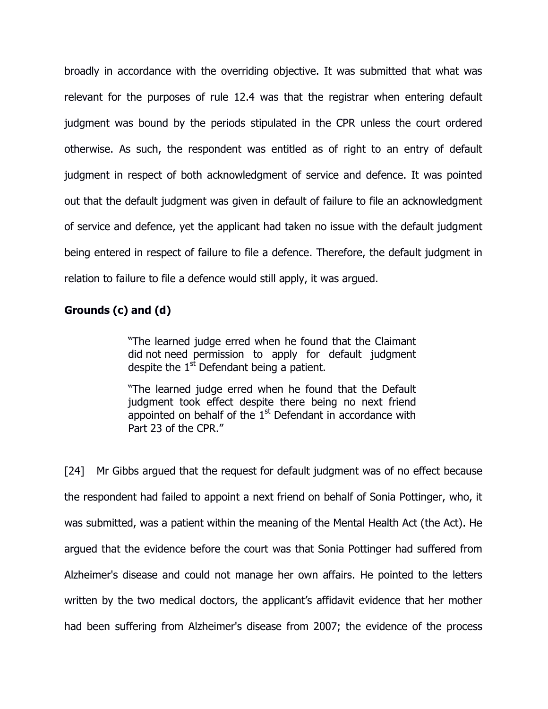broadly in accordance with the overriding objective. It was submitted that what was relevant for the purposes of rule 12.4 was that the registrar when entering default judgment was bound by the periods stipulated in the CPR unless the court ordered otherwise. As such, the respondent was entitled as of right to an entry of default judgment in respect of both acknowledgment of service and defence. It was pointed out that the default judgment was given in default of failure to file an acknowledgment of service and defence, yet the applicant had taken no issue with the default judgment being entered in respect of failure to file a defence. Therefore, the default judgment in relation to failure to file a defence would still apply, it was argued.

# Grounds (c) and (d)

"The learned judge erred when he found that the Claimant did not need permission to apply for default judgment despite the  $1^{st}$  Defendant being a patient.

"The learned judge erred when he found that the Default judgment took effect despite there being no next friend appointed on behalf of the  $1<sup>st</sup>$  Defendant in accordance with Part 23 of the CPR."

[24] Mr Gibbs argued that the request for default judgment was of no effect because the respondent had failed to appoint a next friend on behalf of Sonia Pottinger, who, it was submitted, was a patient within the meaning of the Mental Health Act (the Act). He argued that the evidence before the court was that Sonia Pottinger had suffered from Alzheimer's disease and could not manage her own affairs. He pointed to the letters written by the two medical doctors, the applicant's affidavit evidence that her mother had been suffering from Alzheimer's disease from 2007; the evidence of the process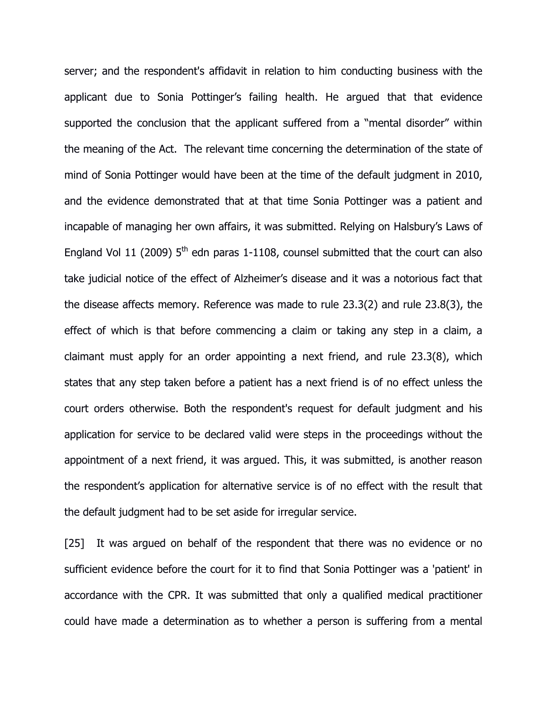server; and the respondent's affidavit in relation to him conducting business with the applicant due to Sonia Pottinger's failing health. He argued that that evidence supported the conclusion that the applicant suffered from a "mental disorder" within the meaning of the Act. The relevant time concerning the determination of the state of mind of Sonia Pottinger would have been at the time of the default judgment in 2010, and the evidence demonstrated that at that time Sonia Pottinger was a patient and incapable of managing her own affairs, it was submitted. Relying on Halsbury's Laws of England Vol 11 (2009)  $5<sup>th</sup>$  edn paras 1-1108, counsel submitted that the court can also take judicial notice of the effect of Alzheimer's disease and it was a notorious fact that the disease affects memory. Reference was made to rule 23.3(2) and rule 23.8(3), the effect of which is that before commencing a claim or taking any step in a claim, a claimant must apply for an order appointing a next friend, and rule 23.3(8), which states that any step taken before a patient has a next friend is of no effect unless the court orders otherwise. Both the respondent's request for default judgment and his application for service to be declared valid were steps in the proceedings without the appointment of a next friend, it was argued. This, it was submitted, is another reason the respondent's application for alternative service is of no effect with the result that the default judgment had to be set aside for irregular service.

[25] It was argued on behalf of the respondent that there was no evidence or no sufficient evidence before the court for it to find that Sonia Pottinger was a 'patient' in accordance with the CPR. It was submitted that only a qualified medical practitioner could have made a determination as to whether a person is suffering from a mental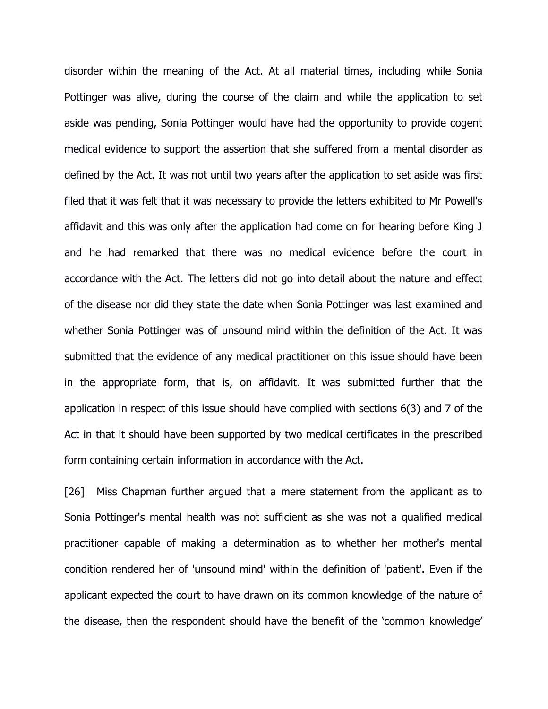disorder within the meaning of the Act. At all material times, including while Sonia Pottinger was alive, during the course of the claim and while the application to set aside was pending, Sonia Pottinger would have had the opportunity to provide cogent medical evidence to support the assertion that she suffered from a mental disorder as defined by the Act. It was not until two years after the application to set aside was first filed that it was felt that it was necessary to provide the letters exhibited to Mr Powell's affidavit and this was only after the application had come on for hearing before King J and he had remarked that there was no medical evidence before the court in accordance with the Act. The letters did not go into detail about the nature and effect of the disease nor did they state the date when Sonia Pottinger was last examined and whether Sonia Pottinger was of unsound mind within the definition of the Act. It was submitted that the evidence of any medical practitioner on this issue should have been in the appropriate form, that is, on affidavit. It was submitted further that the application in respect of this issue should have complied with sections 6(3) and 7 of the Act in that it should have been supported by two medical certificates in the prescribed form containing certain information in accordance with the Act.

[26] Miss Chapman further argued that a mere statement from the applicant as to Sonia Pottinger's mental health was not sufficient as she was not a qualified medical practitioner capable of making a determination as to whether her mother's mental condition rendered her of 'unsound mind' within the definition of 'patient'. Even if the applicant expected the court to have drawn on its common knowledge of the nature of the disease, then the respondent should have the benefit of the 'common knowledge'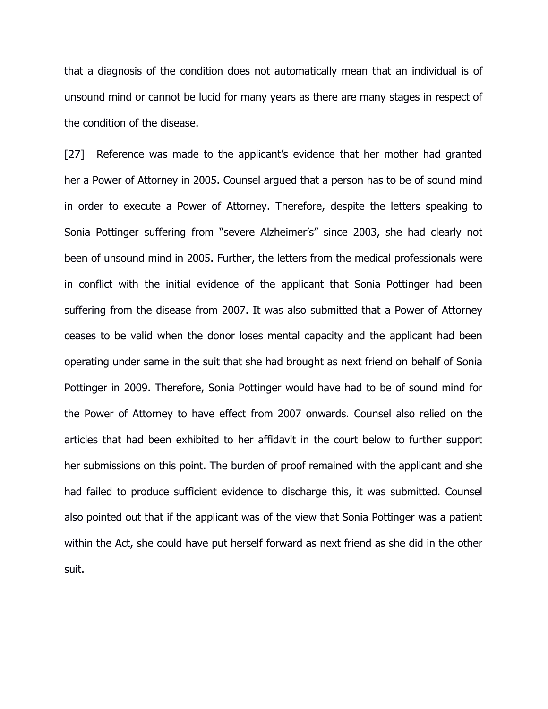that a diagnosis of the condition does not automatically mean that an individual is of unsound mind or cannot be lucid for many years as there are many stages in respect of the condition of the disease.

[27] Reference was made to the applicant's evidence that her mother had granted her a Power of Attorney in 2005. Counsel argued that a person has to be of sound mind in order to execute a Power of Attorney. Therefore, despite the letters speaking to Sonia Pottinger suffering from "severe Alzheimer's" since 2003, she had clearly not been of unsound mind in 2005. Further, the letters from the medical professionals were in conflict with the initial evidence of the applicant that Sonia Pottinger had been suffering from the disease from 2007. It was also submitted that a Power of Attorney ceases to be valid when the donor loses mental capacity and the applicant had been operating under same in the suit that she had brought as next friend on behalf of Sonia Pottinger in 2009. Therefore, Sonia Pottinger would have had to be of sound mind for the Power of Attorney to have effect from 2007 onwards. Counsel also relied on the articles that had been exhibited to her affidavit in the court below to further support her submissions on this point. The burden of proof remained with the applicant and she had failed to produce sufficient evidence to discharge this, it was submitted. Counsel also pointed out that if the applicant was of the view that Sonia Pottinger was a patient within the Act, she could have put herself forward as next friend as she did in the other suit.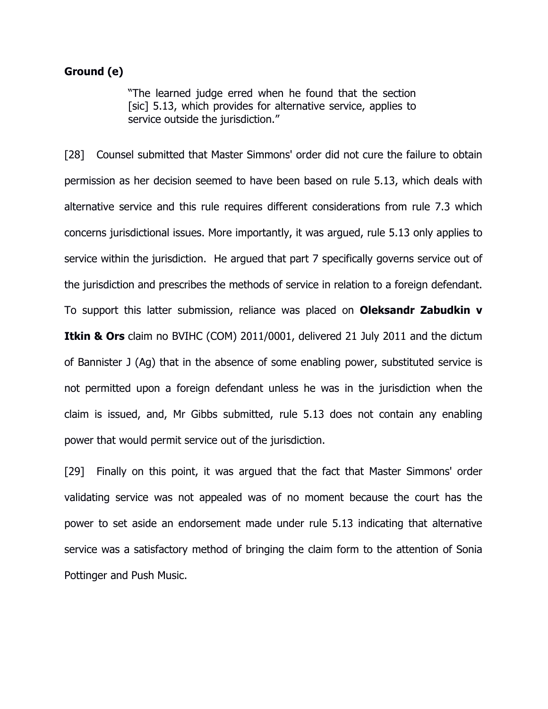## Ground (e)

"The learned judge erred when he found that the section [sic] 5.13, which provides for alternative service, applies to service outside the jurisdiction."

[28] Counsel submitted that Master Simmons' order did not cure the failure to obtain permission as her decision seemed to have been based on rule 5.13, which deals with alternative service and this rule requires different considerations from rule 7.3 which concerns jurisdictional issues. More importantly, it was argued, rule 5.13 only applies to service within the jurisdiction. He argued that part 7 specifically governs service out of the jurisdiction and prescribes the methods of service in relation to a foreign defendant. To support this latter submission, reliance was placed on Oleksandr Zabudkin v **Itkin & Ors** claim no BVIHC (COM) 2011/0001, delivered 21 July 2011 and the dictum of Bannister J (Ag) that in the absence of some enabling power, substituted service is not permitted upon a foreign defendant unless he was in the jurisdiction when the claim is issued, and, Mr Gibbs submitted, rule 5.13 does not contain any enabling power that would permit service out of the jurisdiction.

[29] Finally on this point, it was argued that the fact that Master Simmons' order validating service was not appealed was of no moment because the court has the power to set aside an endorsement made under rule 5.13 indicating that alternative service was a satisfactory method of bringing the claim form to the attention of Sonia Pottinger and Push Music.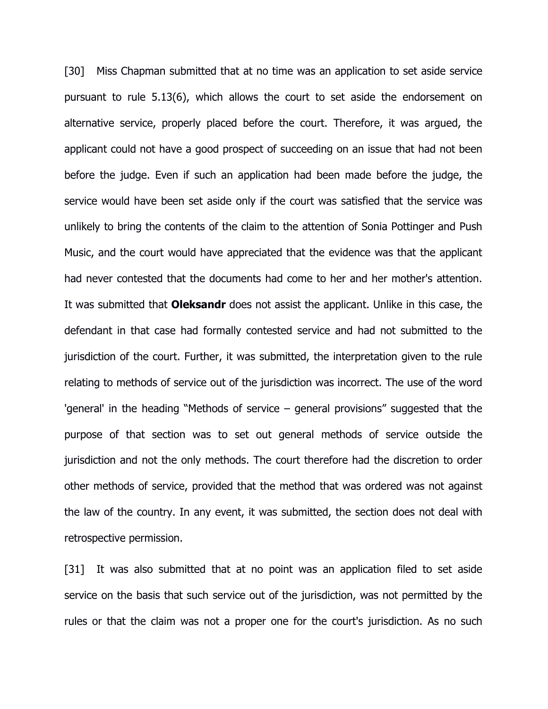[30] Miss Chapman submitted that at no time was an application to set aside service pursuant to rule 5.13(6), which allows the court to set aside the endorsement on alternative service, properly placed before the court. Therefore, it was argued, the applicant could not have a good prospect of succeeding on an issue that had not been before the judge. Even if such an application had been made before the judge, the service would have been set aside only if the court was satisfied that the service was unlikely to bring the contents of the claim to the attention of Sonia Pottinger and Push Music, and the court would have appreciated that the evidence was that the applicant had never contested that the documents had come to her and her mother's attention. It was submitted that **Oleksandr** does not assist the applicant. Unlike in this case, the defendant in that case had formally contested service and had not submitted to the jurisdiction of the court. Further, it was submitted, the interpretation given to the rule relating to methods of service out of the jurisdiction was incorrect. The use of the word 'general' in the heading "Methods of service – general provisions" suggested that the purpose of that section was to set out general methods of service outside the jurisdiction and not the only methods. The court therefore had the discretion to order other methods of service, provided that the method that was ordered was not against the law of the country. In any event, it was submitted, the section does not deal with retrospective permission.

[31] It was also submitted that at no point was an application filed to set aside service on the basis that such service out of the jurisdiction, was not permitted by the rules or that the claim was not a proper one for the court's jurisdiction. As no such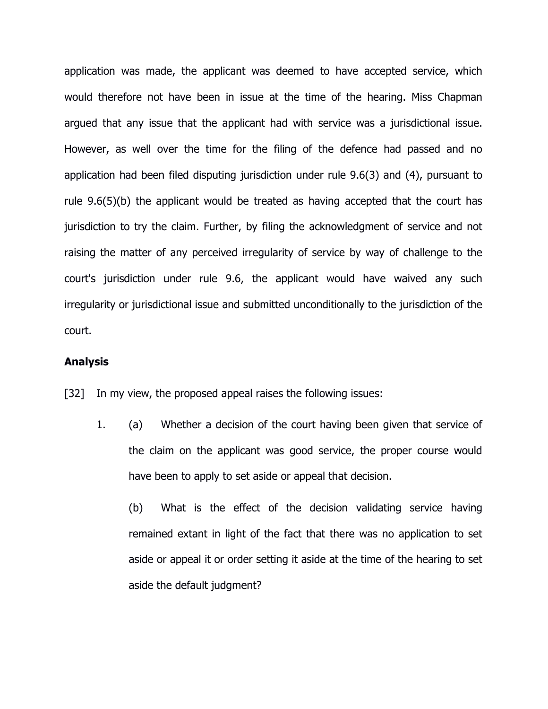application was made, the applicant was deemed to have accepted service, which would therefore not have been in issue at the time of the hearing. Miss Chapman argued that any issue that the applicant had with service was a jurisdictional issue. However, as well over the time for the filing of the defence had passed and no application had been filed disputing jurisdiction under rule 9.6(3) and (4), pursuant to rule 9.6(5)(b) the applicant would be treated as having accepted that the court has jurisdiction to try the claim. Further, by filing the acknowledgment of service and not raising the matter of any perceived irregularity of service by way of challenge to the court's jurisdiction under rule 9.6, the applicant would have waived any such irregularity or jurisdictional issue and submitted unconditionally to the jurisdiction of the court.

#### Analysis

[32] In my view, the proposed appeal raises the following issues:

1. (a) Whether a decision of the court having been given that service of the claim on the applicant was good service, the proper course would have been to apply to set aside or appeal that decision.

(b) What is the effect of the decision validating service having remained extant in light of the fact that there was no application to set aside or appeal it or order setting it aside at the time of the hearing to set aside the default judgment?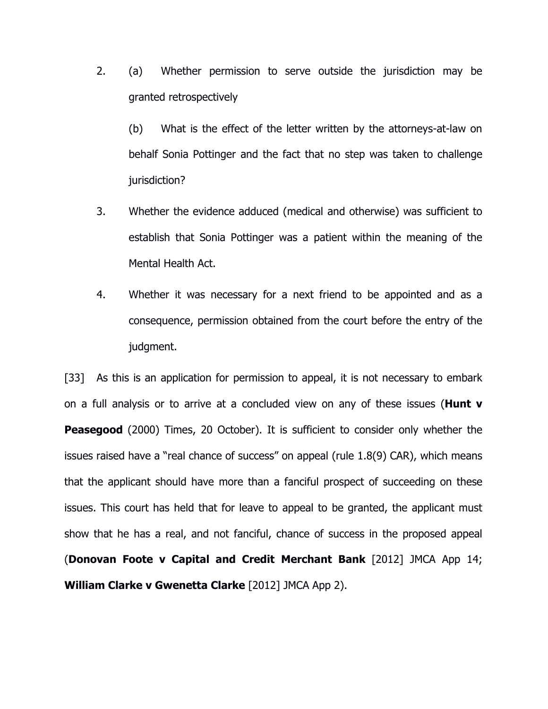2. (a) Whether permission to serve outside the jurisdiction may be granted retrospectively

 (b) What is the effect of the letter written by the attorneys-at-law on behalf Sonia Pottinger and the fact that no step was taken to challenge jurisdiction?

- 3. Whether the evidence adduced (medical and otherwise) was sufficient to establish that Sonia Pottinger was a patient within the meaning of the Mental Health Act.
- 4. Whether it was necessary for a next friend to be appointed and as a consequence, permission obtained from the court before the entry of the judgment.

[33] As this is an application for permission to appeal, it is not necessary to embark on a full analysis or to arrive at a concluded view on any of these issues (**Hunt v Peasegood** (2000) Times, 20 October). It is sufficient to consider only whether the issues raised have a "real chance of success" on appeal (rule 1.8(9) CAR), which means that the applicant should have more than a fanciful prospect of succeeding on these issues. This court has held that for leave to appeal to be granted, the applicant must show that he has a real, and not fanciful, chance of success in the proposed appeal (Donovan Foote v Capital and Credit Merchant Bank [2012] JMCA App 14; William Clarke v Gwenetta Clarke [2012] JMCA App 2).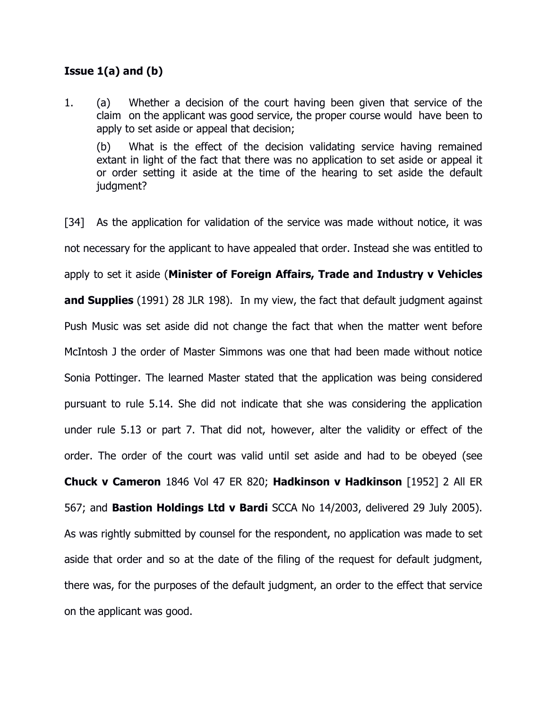# Issue  $1(a)$  and  $(b)$

1. (a) Whether a decision of the court having been given that service of the claim on the applicant was good service, the proper course would have been to apply to set aside or appeal that decision;

 (b) What is the effect of the decision validating service having remained extant in light of the fact that there was no application to set aside or appeal it or order setting it aside at the time of the hearing to set aside the default judgment?

[34] As the application for validation of the service was made without notice, it was not necessary for the applicant to have appealed that order. Instead she was entitled to apply to set it aside (Minister of Foreign Affairs, Trade and Industry v Vehicles and Supplies (1991) 28 JLR 198). In my view, the fact that default judgment against Push Music was set aside did not change the fact that when the matter went before McIntosh J the order of Master Simmons was one that had been made without notice Sonia Pottinger. The learned Master stated that the application was being considered pursuant to rule 5.14. She did not indicate that she was considering the application under rule 5.13 or part 7. That did not, however, alter the validity or effect of the order. The order of the court was valid until set aside and had to be obeyed (see Chuck v Cameron 1846 Vol 47 ER 820; Hadkinson v Hadkinson [1952] 2 All ER 567; and Bastion Holdings Ltd v Bardi SCCA No 14/2003, delivered 29 July 2005). As was rightly submitted by counsel for the respondent, no application was made to set aside that order and so at the date of the filing of the request for default judgment, there was, for the purposes of the default judgment, an order to the effect that service on the applicant was good.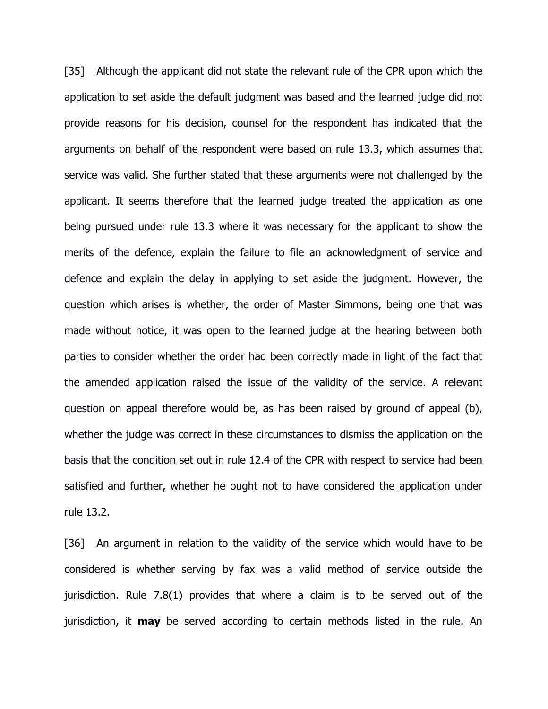[35] Although the applicant did not state the relevant rule of the CPR upon which the application to set aside the default judgment was based and the learned judge did not provide reasons for his decision, counsel for the respondent has indicated that the arguments on behalf of the respondent were based on rule 13.3, which assumes that service was valid. She further stated that these arguments were not challenged by the applicant. It seems therefore that the learned judge treated the application as one being pursued under rule 13.3 where it was necessary for the applicant to show the merits of the defence, explain the failure to file an acknowledgment of service and defence and explain the delay in applying to set aside the judgment. However, the question which arises is whether, the order of Master Simmons, being one that was made without notice, it was open to the learned judge at the hearing between both parties to consider whether the order had been correctly made in light of the fact that the amended application raised the issue of the validity of the service. A relevant question on appeal therefore would be, as has been raised by ground of appeal (b), whether the judge was correct in these circumstances to dismiss the application on the basis that the condition set out in rule 12.4 of the CPR with respect to service had been satisfied and further, whether he ought not to have considered the application under rule 13.2.

[36] An argument in relation to the validity of the service which would have to be considered is whether serving by fax was a valid method of service outside the jurisdiction. Rule 7.8(1) provides that where a claim is to be served out of the jurisdiction, it **may** be served according to certain methods listed in the rule. An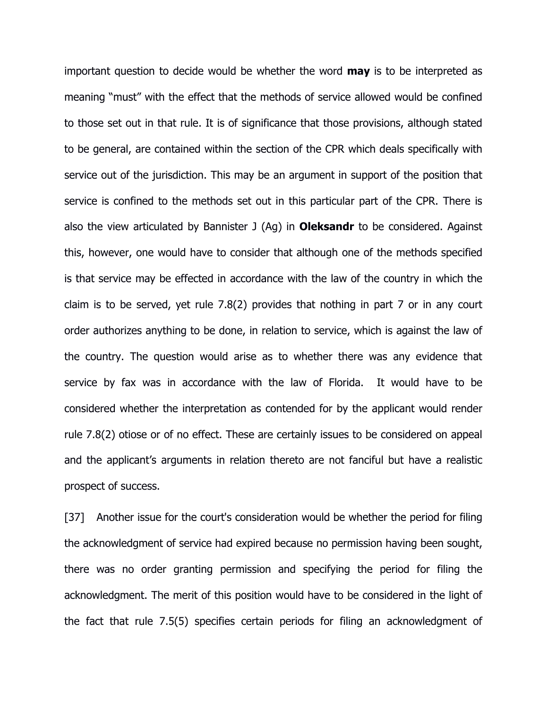important question to decide would be whether the word **may** is to be interpreted as meaning "must" with the effect that the methods of service allowed would be confined to those set out in that rule. It is of significance that those provisions, although stated to be general, are contained within the section of the CPR which deals specifically with service out of the jurisdiction. This may be an argument in support of the position that service is confined to the methods set out in this particular part of the CPR. There is also the view articulated by Bannister J  $(Aq)$  in **Oleksandr** to be considered. Against this, however, one would have to consider that although one of the methods specified is that service may be effected in accordance with the law of the country in which the claim is to be served, yet rule 7.8(2) provides that nothing in part 7 or in any court order authorizes anything to be done, in relation to service, which is against the law of the country. The question would arise as to whether there was any evidence that service by fax was in accordance with the law of Florida. It would have to be considered whether the interpretation as contended for by the applicant would render rule 7.8(2) otiose or of no effect. These are certainly issues to be considered on appeal and the applicant's arguments in relation thereto are not fanciful but have a realistic prospect of success.

[37] Another issue for the court's consideration would be whether the period for filing the acknowledgment of service had expired because no permission having been sought, there was no order granting permission and specifying the period for filing the acknowledgment. The merit of this position would have to be considered in the light of the fact that rule 7.5(5) specifies certain periods for filing an acknowledgment of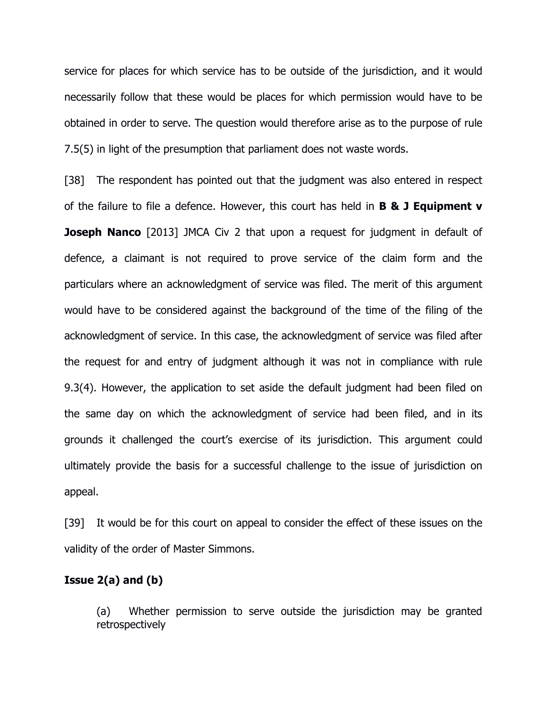service for places for which service has to be outside of the jurisdiction, and it would necessarily follow that these would be places for which permission would have to be obtained in order to serve. The question would therefore arise as to the purpose of rule 7.5(5) in light of the presumption that parliament does not waste words.

[38] The respondent has pointed out that the judgment was also entered in respect of the failure to file a defence. However, this court has held in  $B \& J$  Equipment  $v$ **Joseph Nanco** [2013] JMCA Civ 2 that upon a request for judgment in default of defence, a claimant is not required to prove service of the claim form and the particulars where an acknowledgment of service was filed. The merit of this argument would have to be considered against the background of the time of the filing of the acknowledgment of service. In this case, the acknowledgment of service was filed after the request for and entry of judgment although it was not in compliance with rule 9.3(4). However, the application to set aside the default judgment had been filed on the same day on which the acknowledgment of service had been filed, and in its grounds it challenged the court's exercise of its jurisdiction. This argument could ultimately provide the basis for a successful challenge to the issue of jurisdiction on appeal.

[39] It would be for this court on appeal to consider the effect of these issues on the validity of the order of Master Simmons.

# Issue 2(a) and (b)

 (a) Whether permission to serve outside the jurisdiction may be granted retrospectively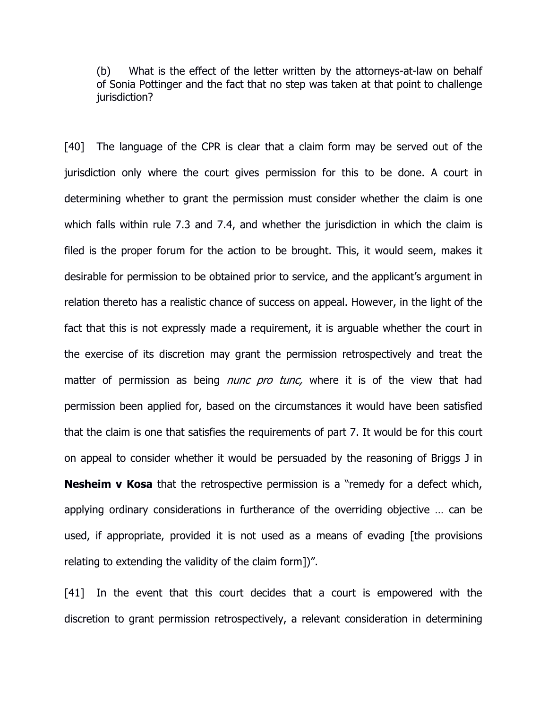(b) What is the effect of the letter written by the attorneys-at-law on behalf of Sonia Pottinger and the fact that no step was taken at that point to challenge jurisdiction?

[40] The language of the CPR is clear that a claim form may be served out of the jurisdiction only where the court gives permission for this to be done. A court in determining whether to grant the permission must consider whether the claim is one which falls within rule 7.3 and 7.4, and whether the jurisdiction in which the claim is filed is the proper forum for the action to be brought. This, it would seem, makes it desirable for permission to be obtained prior to service, and the applicant's argument in relation thereto has a realistic chance of success on appeal. However, in the light of the fact that this is not expressly made a requirement, it is arguable whether the court in the exercise of its discretion may grant the permission retrospectively and treat the matter of permission as being *nunc pro tunc*, where it is of the view that had permission been applied for, based on the circumstances it would have been satisfied that the claim is one that satisfies the requirements of part 7. It would be for this court on appeal to consider whether it would be persuaded by the reasoning of Briggs J in **Nesheim v Kosa** that the retrospective permission is a "remedy for a defect which, applying ordinary considerations in furtherance of the overriding objective … can be used, if appropriate, provided it is not used as a means of evading [the provisions relating to extending the validity of the claim form])".

[41] In the event that this court decides that a court is empowered with the discretion to grant permission retrospectively, a relevant consideration in determining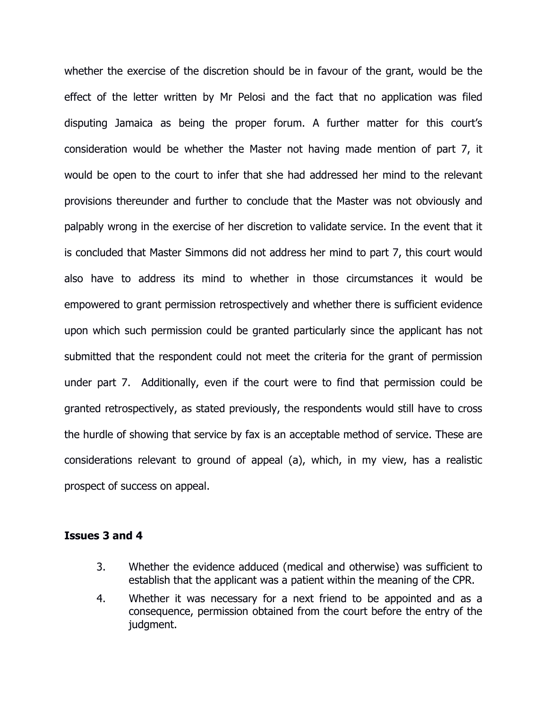whether the exercise of the discretion should be in favour of the grant, would be the effect of the letter written by Mr Pelosi and the fact that no application was filed disputing Jamaica as being the proper forum. A further matter for this court's consideration would be whether the Master not having made mention of part 7, it would be open to the court to infer that she had addressed her mind to the relevant provisions thereunder and further to conclude that the Master was not obviously and palpably wrong in the exercise of her discretion to validate service. In the event that it is concluded that Master Simmons did not address her mind to part 7, this court would also have to address its mind to whether in those circumstances it would be empowered to grant permission retrospectively and whether there is sufficient evidence upon which such permission could be granted particularly since the applicant has not submitted that the respondent could not meet the criteria for the grant of permission under part 7. Additionally, even if the court were to find that permission could be granted retrospectively, as stated previously, the respondents would still have to cross the hurdle of showing that service by fax is an acceptable method of service. These are considerations relevant to ground of appeal (a), which, in my view, has a realistic prospect of success on appeal.

### Issues 3 and 4

- 3. Whether the evidence adduced (medical and otherwise) was sufficient to establish that the applicant was a patient within the meaning of the CPR.
- 4. Whether it was necessary for a next friend to be appointed and as a consequence, permission obtained from the court before the entry of the judgment.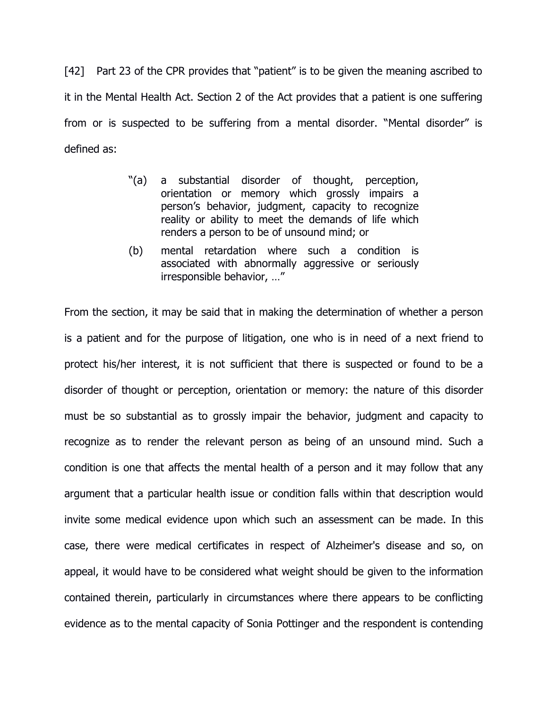[42] Part 23 of the CPR provides that "patient" is to be given the meaning ascribed to it in the Mental Health Act. Section 2 of the Act provides that a patient is one suffering from or is suspected to be suffering from a mental disorder. "Mental disorder" is defined as:

- "(a) a substantial disorder of thought, perception, orientation or memory which grossly impairs a person's behavior, judgment, capacity to recognize reality or ability to meet the demands of life which renders a person to be of unsound mind; or
- (b) mental retardation where such a condition is associated with abnormally aggressive or seriously irresponsible behavior, …"

From the section, it may be said that in making the determination of whether a person is a patient and for the purpose of litigation, one who is in need of a next friend to protect his/her interest, it is not sufficient that there is suspected or found to be a disorder of thought or perception, orientation or memory: the nature of this disorder must be so substantial as to grossly impair the behavior, judgment and capacity to recognize as to render the relevant person as being of an unsound mind. Such a condition is one that affects the mental health of a person and it may follow that any argument that a particular health issue or condition falls within that description would invite some medical evidence upon which such an assessment can be made. In this case, there were medical certificates in respect of Alzheimer's disease and so, on appeal, it would have to be considered what weight should be given to the information contained therein, particularly in circumstances where there appears to be conflicting evidence as to the mental capacity of Sonia Pottinger and the respondent is contending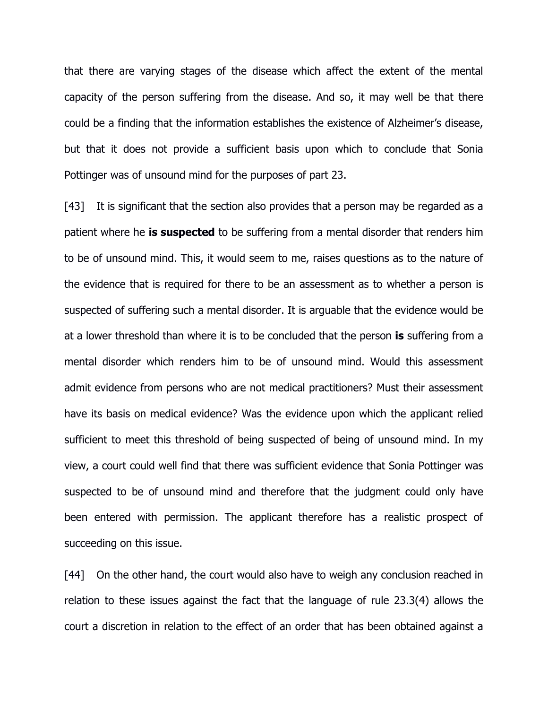that there are varying stages of the disease which affect the extent of the mental capacity of the person suffering from the disease. And so, it may well be that there could be a finding that the information establishes the existence of Alzheimer's disease, but that it does not provide a sufficient basis upon which to conclude that Sonia Pottinger was of unsound mind for the purposes of part 23.

[43] It is significant that the section also provides that a person may be regarded as a patient where he **is suspected** to be suffering from a mental disorder that renders him to be of unsound mind. This, it would seem to me, raises questions as to the nature of the evidence that is required for there to be an assessment as to whether a person is suspected of suffering such a mental disorder. It is arguable that the evidence would be at a lower threshold than where it is to be concluded that the person is suffering from a mental disorder which renders him to be of unsound mind. Would this assessment admit evidence from persons who are not medical practitioners? Must their assessment have its basis on medical evidence? Was the evidence upon which the applicant relied sufficient to meet this threshold of being suspected of being of unsound mind. In my view, a court could well find that there was sufficient evidence that Sonia Pottinger was suspected to be of unsound mind and therefore that the judgment could only have been entered with permission. The applicant therefore has a realistic prospect of succeeding on this issue.

[44] On the other hand, the court would also have to weigh any conclusion reached in relation to these issues against the fact that the language of rule 23.3(4) allows the court a discretion in relation to the effect of an order that has been obtained against a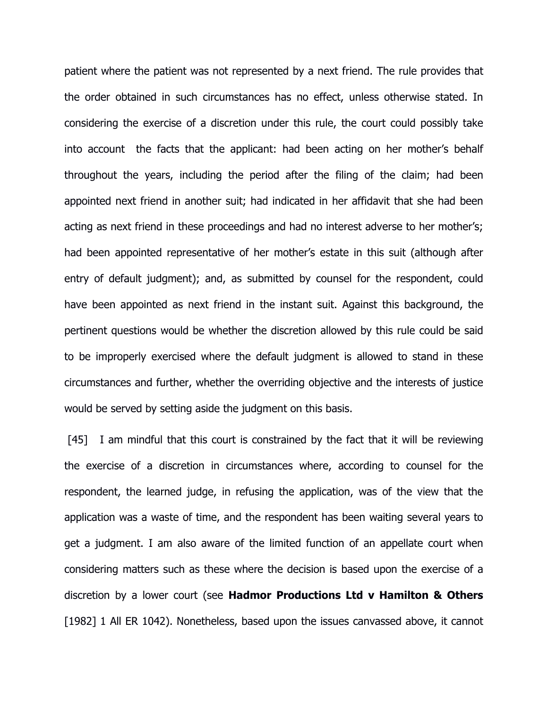patient where the patient was not represented by a next friend. The rule provides that the order obtained in such circumstances has no effect, unless otherwise stated. In considering the exercise of a discretion under this rule, the court could possibly take into account the facts that the applicant: had been acting on her mother's behalf throughout the years, including the period after the filing of the claim; had been appointed next friend in another suit; had indicated in her affidavit that she had been acting as next friend in these proceedings and had no interest adverse to her mother's; had been appointed representative of her mother's estate in this suit (although after entry of default judgment); and, as submitted by counsel for the respondent, could have been appointed as next friend in the instant suit. Against this background, the pertinent questions would be whether the discretion allowed by this rule could be said to be improperly exercised where the default judgment is allowed to stand in these circumstances and further, whether the overriding objective and the interests of justice would be served by setting aside the judgment on this basis.

[45] I am mindful that this court is constrained by the fact that it will be reviewing the exercise of a discretion in circumstances where, according to counsel for the respondent, the learned judge, in refusing the application, was of the view that the application was a waste of time, and the respondent has been waiting several years to get a judgment. I am also aware of the limited function of an appellate court when considering matters such as these where the decision is based upon the exercise of a discretion by a lower court (see Hadmor Productions Ltd v Hamilton & Others [1982] 1 All ER 1042). Nonetheless, based upon the issues canvassed above, it cannot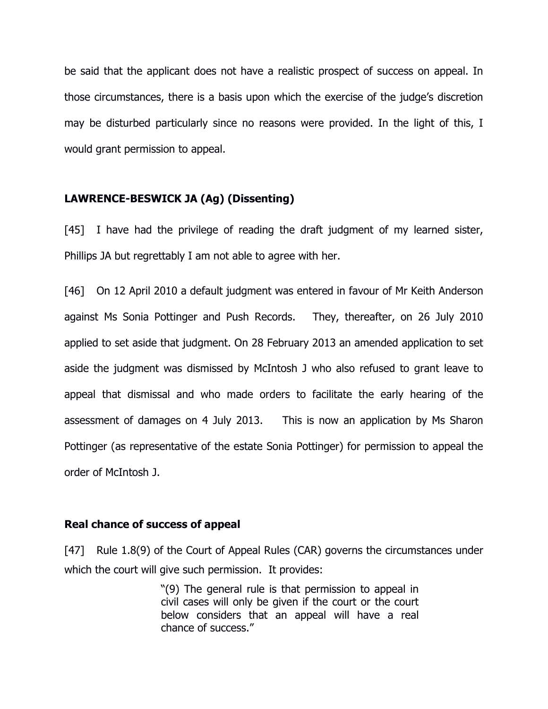be said that the applicant does not have a realistic prospect of success on appeal. In those circumstances, there is a basis upon which the exercise of the judge's discretion may be disturbed particularly since no reasons were provided. In the light of this, I would grant permission to appeal.

## LAWRENCE-BESWICK JA (Ag) (Dissenting)

[45] I have had the privilege of reading the draft judgment of my learned sister, Phillips JA but regrettably I am not able to agree with her.

[46] On 12 April 2010 a default judgment was entered in favour of Mr Keith Anderson against Ms Sonia Pottinger and Push Records. They, thereafter, on 26 July 2010 applied to set aside that judgment. On 28 February 2013 an amended application to set aside the judgment was dismissed by McIntosh J who also refused to grant leave to appeal that dismissal and who made orders to facilitate the early hearing of the assessment of damages on 4 July 2013. This is now an application by Ms Sharon Pottinger (as representative of the estate Sonia Pottinger) for permission to appeal the order of McIntosh J.

### Real chance of success of appeal

[47] Rule 1.8(9) of the Court of Appeal Rules (CAR) governs the circumstances under which the court will give such permission. It provides:

> "(9) The general rule is that permission to appeal in civil cases will only be given if the court or the court below considers that an appeal will have a real chance of success."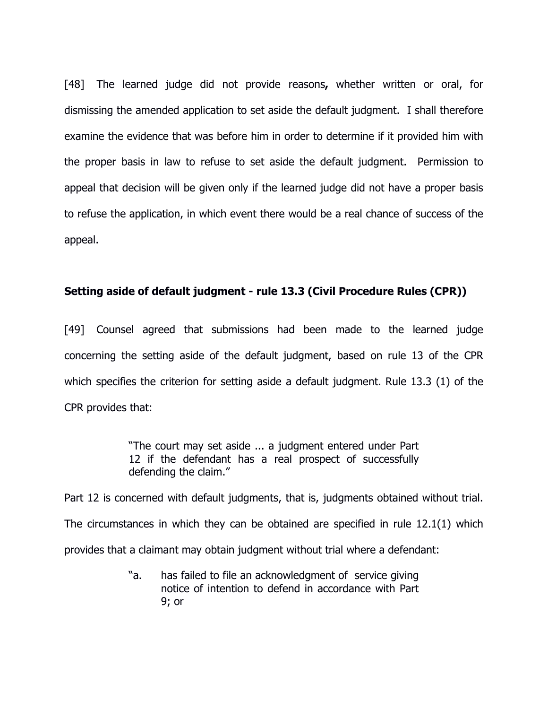[48] The learned judge did not provide reasons, whether written or oral, for dismissing the amended application to set aside the default judgment. I shall therefore examine the evidence that was before him in order to determine if it provided him with the proper basis in law to refuse to set aside the default judgment. Permission to appeal that decision will be given only if the learned judge did not have a proper basis to refuse the application, in which event there would be a real chance of success of the appeal.

# Setting aside of default judgment - rule 13.3 (Civil Procedure Rules (CPR))

[49] Counsel agreed that submissions had been made to the learned judge concerning the setting aside of the default judgment, based on rule 13 of the CPR which specifies the criterion for setting aside a default judgment. Rule 13.3 (1) of the CPR provides that:

> "The court may set aside ... a judgment entered under Part 12 if the defendant has a real prospect of successfully defending the claim."

Part 12 is concerned with default judgments, that is, judgments obtained without trial. The circumstances in which they can be obtained are specified in rule 12.1(1) which provides that a claimant may obtain judgment without trial where a defendant:

> "a. has failed to file an acknowledgment of service giving notice of intention to defend in accordance with Part 9; or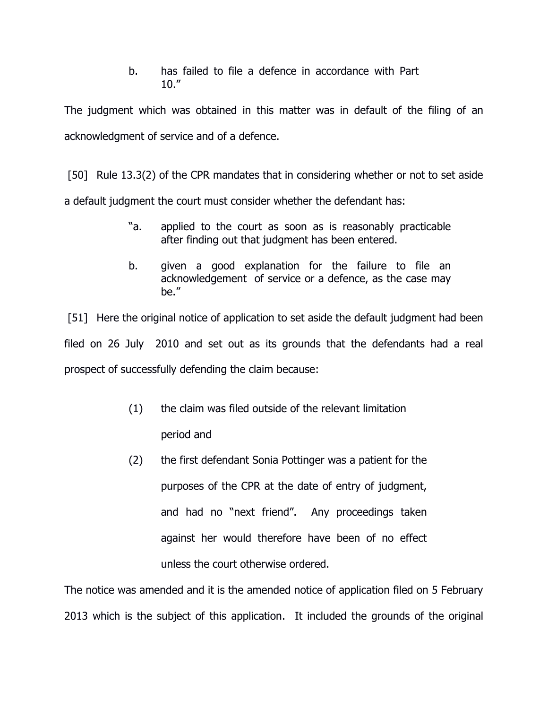b. has failed to file a defence in accordance with Part  $10.$ "

The judgment which was obtained in this matter was in default of the filing of an acknowledgment of service and of a defence.

 [50] Rule 13.3(2) of the CPR mandates that in considering whether or not to set aside a default judgment the court must consider whether the defendant has:

- "a. applied to the court as soon as is reasonably practicable after finding out that judgment has been entered.
- b. given a good explanation for the failure to file an acknowledgement of service or a defence, as the case may be."

 [51] Here the original notice of application to set aside the default judgment had been filed on 26 July 2010 and set out as its grounds that the defendants had a real prospect of successfully defending the claim because:

- (1) the claim was filed outside of the relevant limitation period and
- (2) the first defendant Sonia Pottinger was a patient for the purposes of the CPR at the date of entry of judgment, and had no "next friend". Any proceedings taken against her would therefore have been of no effect unless the court otherwise ordered.

The notice was amended and it is the amended notice of application filed on 5 February 2013 which is the subject of this application. It included the grounds of the original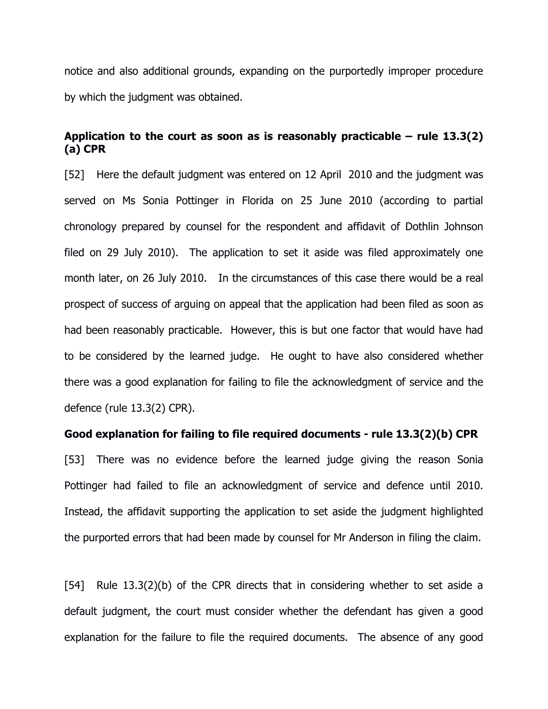notice and also additional grounds, expanding on the purportedly improper procedure by which the judgment was obtained.

# Application to the court as soon as is reasonably practicable – rule  $13.3(2)$ (a) CPR

[52] Here the default judgment was entered on 12 April 2010 and the judgment was served on Ms Sonia Pottinger in Florida on 25 June 2010 (according to partial chronology prepared by counsel for the respondent and affidavit of Dothlin Johnson filed on 29 July 2010). The application to set it aside was filed approximately one month later, on 26 July 2010. In the circumstances of this case there would be a real prospect of success of arguing on appeal that the application had been filed as soon as had been reasonably practicable. However, this is but one factor that would have had to be considered by the learned judge. He ought to have also considered whether there was a good explanation for failing to file the acknowledgment of service and the defence (rule 13.3(2) CPR).

### Good explanation for failing to file required documents - rule 13.3(2)(b) CPR

[53] There was no evidence before the learned judge giving the reason Sonia Pottinger had failed to file an acknowledgment of service and defence until 2010. Instead, the affidavit supporting the application to set aside the judgment highlighted the purported errors that had been made by counsel for Mr Anderson in filing the claim.

[54] Rule 13.3(2)(b) of the CPR directs that in considering whether to set aside a default judgment, the court must consider whether the defendant has given a good explanation for the failure to file the required documents. The absence of any good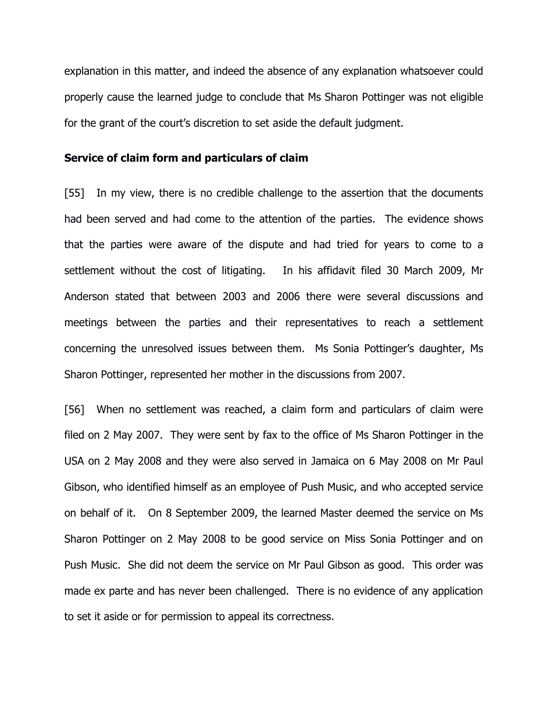explanation in this matter, and indeed the absence of any explanation whatsoever could properly cause the learned judge to conclude that Ms Sharon Pottinger was not eligible for the grant of the court's discretion to set aside the default judgment.

#### Service of claim form and particulars of claim

[55] In my view, there is no credible challenge to the assertion that the documents had been served and had come to the attention of the parties. The evidence shows that the parties were aware of the dispute and had tried for years to come to a settlement without the cost of litigating. In his affidavit filed 30 March 2009, Mr Anderson stated that between 2003 and 2006 there were several discussions and meetings between the parties and their representatives to reach a settlement concerning the unresolved issues between them. Ms Sonia Pottinger's daughter, Ms Sharon Pottinger, represented her mother in the discussions from 2007.

[56] When no settlement was reached, a claim form and particulars of claim were filed on 2 May 2007. They were sent by fax to the office of Ms Sharon Pottinger in the USA on 2 May 2008 and they were also served in Jamaica on 6 May 2008 on Mr Paul Gibson, who identified himself as an employee of Push Music, and who accepted service on behalf of it. On 8 September 2009, the learned Master deemed the service on Ms Sharon Pottinger on 2 May 2008 to be good service on Miss Sonia Pottinger and on Push Music. She did not deem the service on Mr Paul Gibson as good. This order was made ex parte and has never been challenged. There is no evidence of any application to set it aside or for permission to appeal its correctness.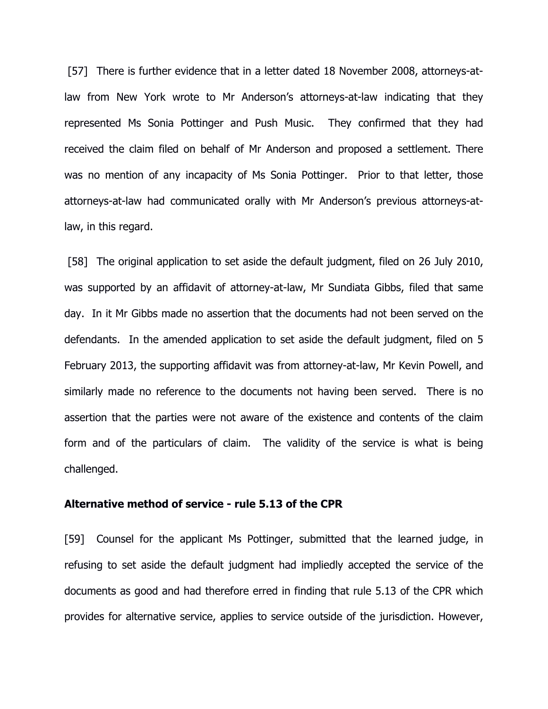[57] There is further evidence that in a letter dated 18 November 2008, attorneys-atlaw from New York wrote to Mr Anderson's attorneys-at-law indicating that they represented Ms Sonia Pottinger and Push Music. They confirmed that they had received the claim filed on behalf of Mr Anderson and proposed a settlement. There was no mention of any incapacity of Ms Sonia Pottinger. Prior to that letter, those attorneys-at-law had communicated orally with Mr Anderson's previous attorneys-atlaw, in this regard.

 [58] The original application to set aside the default judgment, filed on 26 July 2010, was supported by an affidavit of attorney-at-law, Mr Sundiata Gibbs, filed that same day. In it Mr Gibbs made no assertion that the documents had not been served on the defendants. In the amended application to set aside the default judgment, filed on 5 February 2013, the supporting affidavit was from attorney-at-law, Mr Kevin Powell, and similarly made no reference to the documents not having been served. There is no assertion that the parties were not aware of the existence and contents of the claim form and of the particulars of claim. The validity of the service is what is being challenged.

### Alternative method of service - rule 5.13 of the CPR

[59] Counsel for the applicant Ms Pottinger, submitted that the learned judge, in refusing to set aside the default judgment had impliedly accepted the service of the documents as good and had therefore erred in finding that rule 5.13 of the CPR which provides for alternative service, applies to service outside of the jurisdiction. However,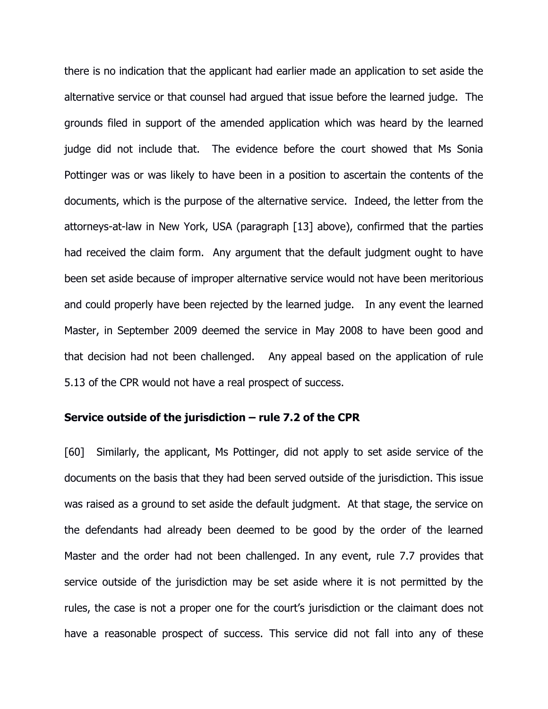there is no indication that the applicant had earlier made an application to set aside the alternative service or that counsel had argued that issue before the learned judge. The grounds filed in support of the amended application which was heard by the learned judge did not include that. The evidence before the court showed that Ms Sonia Pottinger was or was likely to have been in a position to ascertain the contents of the documents, which is the purpose of the alternative service. Indeed, the letter from the attorneys-at-law in New York, USA (paragraph [13] above), confirmed that the parties had received the claim form. Any argument that the default judgment ought to have been set aside because of improper alternative service would not have been meritorious and could properly have been rejected by the learned judge. In any event the learned Master, in September 2009 deemed the service in May 2008 to have been good and that decision had not been challenged. Any appeal based on the application of rule 5.13 of the CPR would not have a real prospect of success.

### Service outside of the jurisdiction – rule 7.2 of the CPR

[60] Similarly, the applicant, Ms Pottinger, did not apply to set aside service of the documents on the basis that they had been served outside of the jurisdiction. This issue was raised as a ground to set aside the default judgment. At that stage, the service on the defendants had already been deemed to be good by the order of the learned Master and the order had not been challenged. In any event, rule 7.7 provides that service outside of the jurisdiction may be set aside where it is not permitted by the rules, the case is not a proper one for the court's jurisdiction or the claimant does not have a reasonable prospect of success. This service did not fall into any of these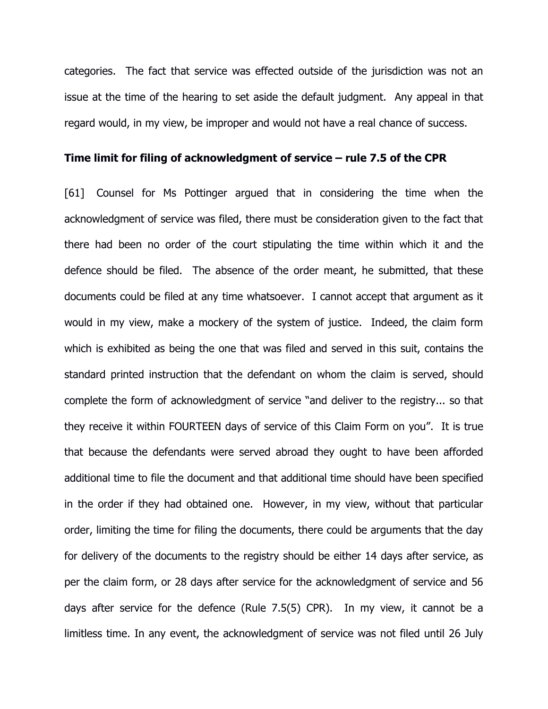categories. The fact that service was effected outside of the jurisdiction was not an issue at the time of the hearing to set aside the default judgment. Any appeal in that regard would, in my view, be improper and would not have a real chance of success.

#### Time limit for filing of acknowledgment of service – rule 7.5 of the CPR

[61] Counsel for Ms Pottinger argued that in considering the time when the acknowledgment of service was filed, there must be consideration given to the fact that there had been no order of the court stipulating the time within which it and the defence should be filed. The absence of the order meant, he submitted, that these documents could be filed at any time whatsoever. I cannot accept that argument as it would in my view, make a mockery of the system of justice. Indeed, the claim form which is exhibited as being the one that was filed and served in this suit, contains the standard printed instruction that the defendant on whom the claim is served, should complete the form of acknowledgment of service "and deliver to the registry... so that they receive it within FOURTEEN days of service of this Claim Form on you". It is true that because the defendants were served abroad they ought to have been afforded additional time to file the document and that additional time should have been specified in the order if they had obtained one. However, in my view, without that particular order, limiting the time for filing the documents, there could be arguments that the day for delivery of the documents to the registry should be either 14 days after service, as per the claim form, or 28 days after service for the acknowledgment of service and 56 days after service for the defence (Rule 7.5(5) CPR). In my view, it cannot be a limitless time. In any event, the acknowledgment of service was not filed until 26 July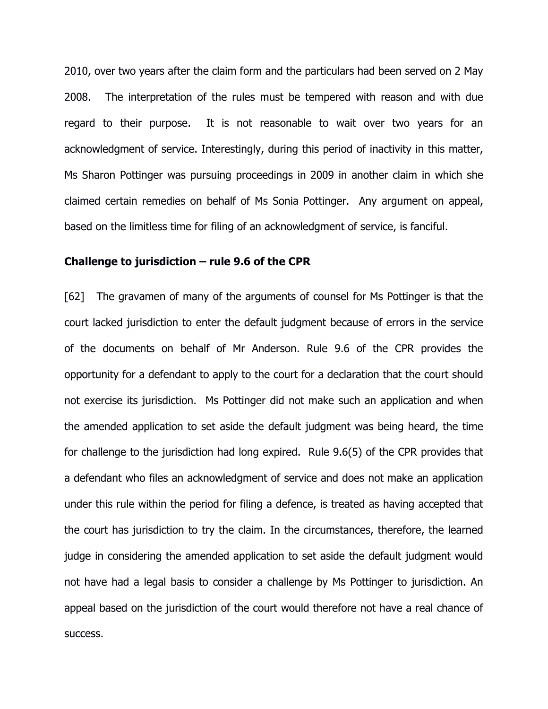2010, over two years after the claim form and the particulars had been served on 2 May 2008. The interpretation of the rules must be tempered with reason and with due regard to their purpose. It is not reasonable to wait over two years for an acknowledgment of service. Interestingly, during this period of inactivity in this matter, Ms Sharon Pottinger was pursuing proceedings in 2009 in another claim in which she claimed certain remedies on behalf of Ms Sonia Pottinger. Any argument on appeal, based on the limitless time for filing of an acknowledgment of service, is fanciful.

### Challenge to jurisdiction  $-$  rule 9.6 of the CPR

[62] The gravamen of many of the arguments of counsel for Ms Pottinger is that the court lacked jurisdiction to enter the default judgment because of errors in the service of the documents on behalf of Mr Anderson. Rule 9.6 of the CPR provides the opportunity for a defendant to apply to the court for a declaration that the court should not exercise its jurisdiction. Ms Pottinger did not make such an application and when the amended application to set aside the default judgment was being heard, the time for challenge to the jurisdiction had long expired. Rule 9.6(5) of the CPR provides that a defendant who files an acknowledgment of service and does not make an application under this rule within the period for filing a defence, is treated as having accepted that the court has jurisdiction to try the claim. In the circumstances, therefore, the learned judge in considering the amended application to set aside the default judgment would not have had a legal basis to consider a challenge by Ms Pottinger to jurisdiction. An appeal based on the jurisdiction of the court would therefore not have a real chance of success.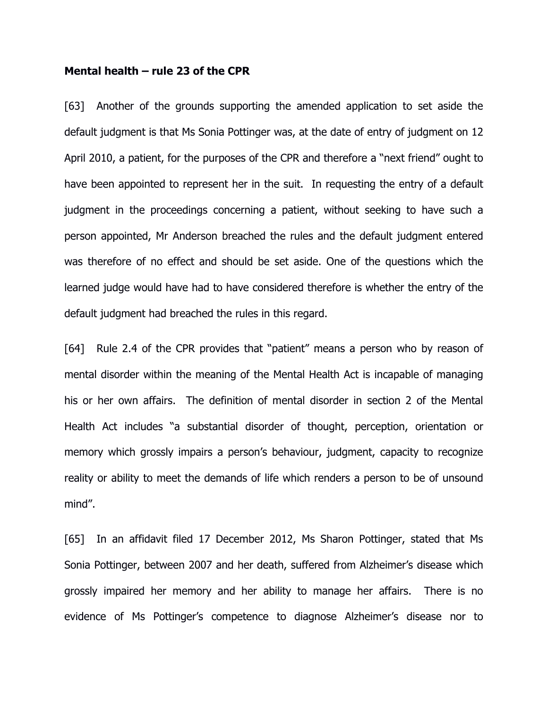#### Mental health – rule 23 of the CPR

[63] Another of the grounds supporting the amended application to set aside the default judgment is that Ms Sonia Pottinger was, at the date of entry of judgment on 12 April 2010, a patient, for the purposes of the CPR and therefore a "next friend" ought to have been appointed to represent her in the suit. In requesting the entry of a default judgment in the proceedings concerning a patient, without seeking to have such a person appointed, Mr Anderson breached the rules and the default judgment entered was therefore of no effect and should be set aside. One of the questions which the learned judge would have had to have considered therefore is whether the entry of the default judgment had breached the rules in this regard.

[64] Rule 2.4 of the CPR provides that "patient" means a person who by reason of mental disorder within the meaning of the Mental Health Act is incapable of managing his or her own affairs. The definition of mental disorder in section 2 of the Mental Health Act includes "a substantial disorder of thought, perception, orientation or memory which grossly impairs a person's behaviour, judgment, capacity to recognize reality or ability to meet the demands of life which renders a person to be of unsound mind".

[65] In an affidavit filed 17 December 2012, Ms Sharon Pottinger, stated that Ms Sonia Pottinger, between 2007 and her death, suffered from Alzheimer's disease which grossly impaired her memory and her ability to manage her affairs. There is no evidence of Ms Pottinger's competence to diagnose Alzheimer's disease nor to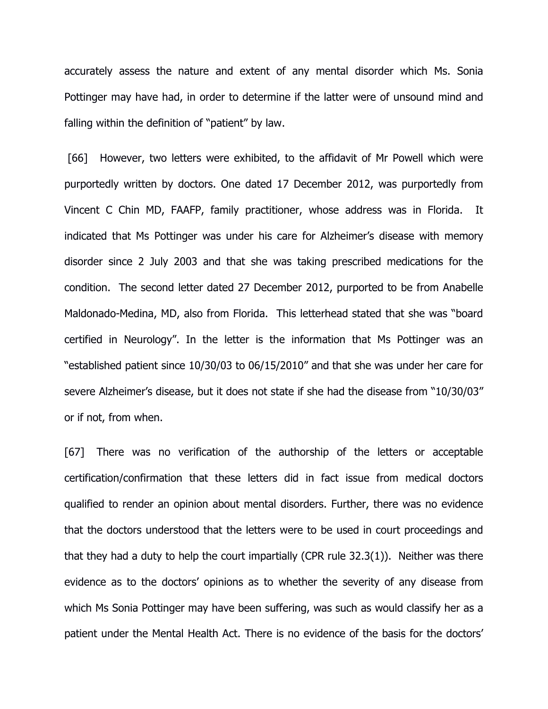accurately assess the nature and extent of any mental disorder which Ms. Sonia Pottinger may have had, in order to determine if the latter were of unsound mind and falling within the definition of "patient" by law.

 [66] However, two letters were exhibited, to the affidavit of Mr Powell which were purportedly written by doctors. One dated 17 December 2012, was purportedly from Vincent C Chin MD, FAAFP, family practitioner, whose address was in Florida. It indicated that Ms Pottinger was under his care for Alzheimer's disease with memory disorder since 2 July 2003 and that she was taking prescribed medications for the condition. The second letter dated 27 December 2012, purported to be from Anabelle Maldonado-Medina, MD, also from Florida. This letterhead stated that she was "board certified in Neurology". In the letter is the information that Ms Pottinger was an "established patient since 10/30/03 to 06/15/2010" and that she was under her care for severe Alzheimer's disease, but it does not state if she had the disease from "10/30/03" or if not, from when.

[67] There was no verification of the authorship of the letters or acceptable certification/confirmation that these letters did in fact issue from medical doctors qualified to render an opinion about mental disorders. Further, there was no evidence that the doctors understood that the letters were to be used in court proceedings and that they had a duty to help the court impartially (CPR rule 32.3(1)). Neither was there evidence as to the doctors' opinions as to whether the severity of any disease from which Ms Sonia Pottinger may have been suffering, was such as would classify her as a patient under the Mental Health Act. There is no evidence of the basis for the doctors'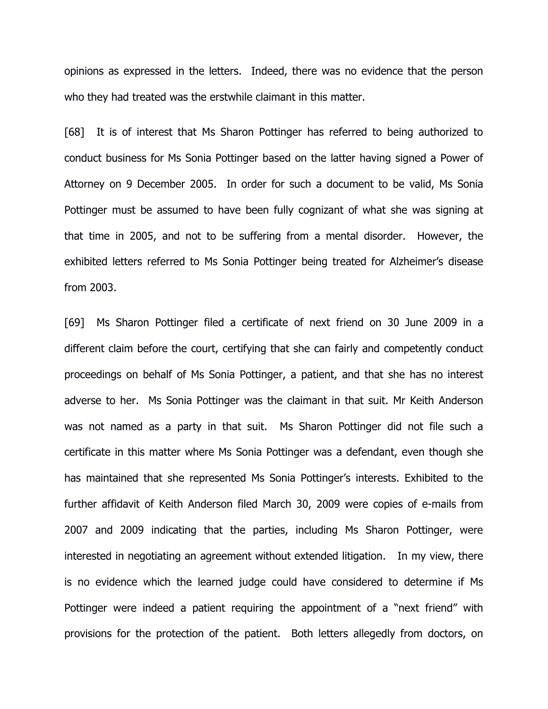opinions as expressed in the letters. Indeed, there was no evidence that the person who they had treated was the erstwhile claimant in this matter.

[68] It is of interest that Ms Sharon Pottinger has referred to being authorized to conduct business for Ms Sonia Pottinger based on the latter having signed a Power of Attorney on 9 December 2005. In order for such a document to be valid, Ms Sonia Pottinger must be assumed to have been fully cognizant of what she was signing at that time in 2005, and not to be suffering from a mental disorder. However, the exhibited letters referred to Ms Sonia Pottinger being treated for Alzheimer's disease from 2003.

[69] Ms Sharon Pottinger filed a certificate of next friend on 30 June 2009 in a different claim before the court, certifying that she can fairly and competently conduct proceedings on behalf of Ms Sonia Pottinger, a patient, and that she has no interest adverse to her. Ms Sonia Pottinger was the claimant in that suit. Mr Keith Anderson was not named as a party in that suit. Ms Sharon Pottinger did not file such a certificate in this matter where Ms Sonia Pottinger was a defendant, even though she has maintained that she represented Ms Sonia Pottinger's interests. Exhibited to the further affidavit of Keith Anderson filed March 30, 2009 were copies of e-mails from 2007 and 2009 indicating that the parties, including Ms Sharon Pottinger, were interested in negotiating an agreement without extended litigation. In my view, there is no evidence which the learned judge could have considered to determine if Ms Pottinger were indeed a patient requiring the appointment of a "next friend" with provisions for the protection of the patient. Both letters allegedly from doctors, on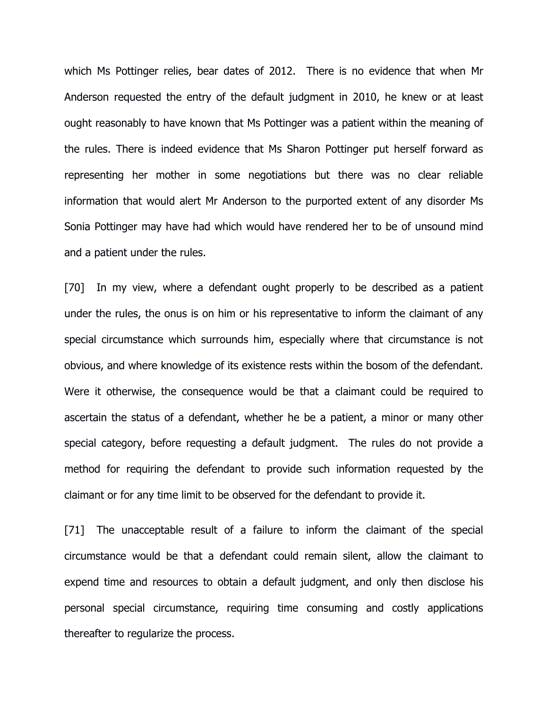which Ms Pottinger relies, bear dates of 2012. There is no evidence that when Mr Anderson requested the entry of the default judgment in 2010, he knew or at least ought reasonably to have known that Ms Pottinger was a patient within the meaning of the rules. There is indeed evidence that Ms Sharon Pottinger put herself forward as representing her mother in some negotiations but there was no clear reliable information that would alert Mr Anderson to the purported extent of any disorder Ms Sonia Pottinger may have had which would have rendered her to be of unsound mind and a patient under the rules.

[70] In my view, where a defendant ought properly to be described as a patient under the rules, the onus is on him or his representative to inform the claimant of any special circumstance which surrounds him, especially where that circumstance is not obvious, and where knowledge of its existence rests within the bosom of the defendant. Were it otherwise, the consequence would be that a claimant could be required to ascertain the status of a defendant, whether he be a patient, a minor or many other special category, before requesting a default judgment. The rules do not provide a method for requiring the defendant to provide such information requested by the claimant or for any time limit to be observed for the defendant to provide it.

[71] The unacceptable result of a failure to inform the claimant of the special circumstance would be that a defendant could remain silent, allow the claimant to expend time and resources to obtain a default judgment, and only then disclose his personal special circumstance, requiring time consuming and costly applications thereafter to regularize the process.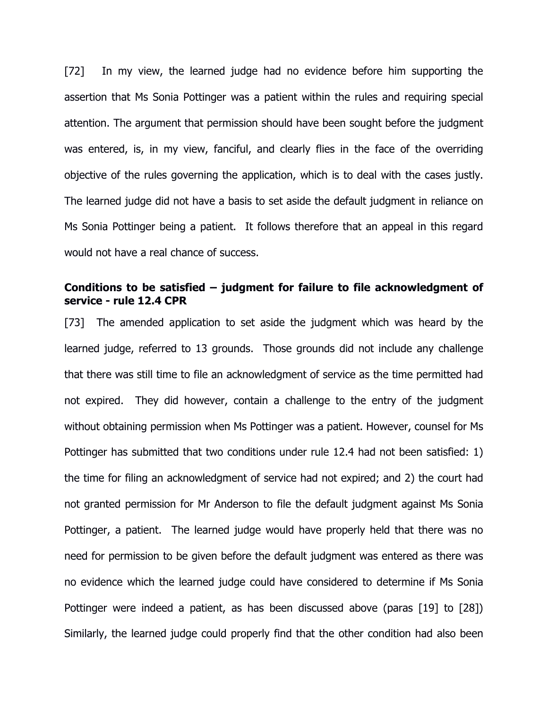[72] In my view, the learned judge had no evidence before him supporting the assertion that Ms Sonia Pottinger was a patient within the rules and requiring special attention. The argument that permission should have been sought before the judgment was entered, is, in my view, fanciful, and clearly flies in the face of the overriding objective of the rules governing the application, which is to deal with the cases justly. The learned judge did not have a basis to set aside the default judgment in reliance on Ms Sonia Pottinger being a patient. It follows therefore that an appeal in this regard would not have a real chance of success.

# Conditions to be satisfied – judgment for failure to file acknowledgment of service - rule 12.4 CPR

[73] The amended application to set aside the judgment which was heard by the learned judge, referred to 13 grounds. Those grounds did not include any challenge that there was still time to file an acknowledgment of service as the time permitted had not expired. They did however, contain a challenge to the entry of the judgment without obtaining permission when Ms Pottinger was a patient. However, counsel for Ms Pottinger has submitted that two conditions under rule 12.4 had not been satisfied: 1) the time for filing an acknowledgment of service had not expired; and 2) the court had not granted permission for Mr Anderson to file the default judgment against Ms Sonia Pottinger, a patient. The learned judge would have properly held that there was no need for permission to be given before the default judgment was entered as there was no evidence which the learned judge could have considered to determine if Ms Sonia Pottinger were indeed a patient, as has been discussed above (paras [19] to [28]) Similarly, the learned judge could properly find that the other condition had also been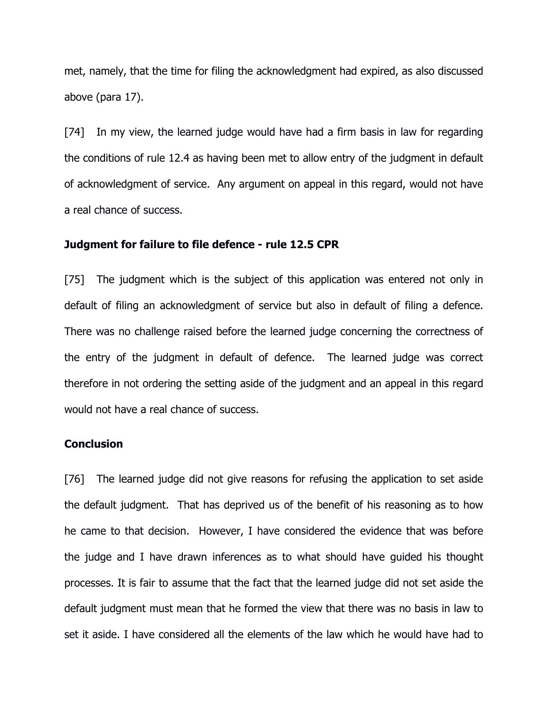met, namely, that the time for filing the acknowledgment had expired, as also discussed above (para 17).

[74] In my view, the learned judge would have had a firm basis in law for regarding the conditions of rule 12.4 as having been met to allow entry of the judgment in default of acknowledgment of service. Any argument on appeal in this regard, would not have a real chance of success.

### Judgment for failure to file defence - rule 12.5 CPR

[75] The judgment which is the subject of this application was entered not only in default of filing an acknowledgment of service but also in default of filing a defence. There was no challenge raised before the learned judge concerning the correctness of the entry of the judgment in default of defence. The learned judge was correct therefore in not ordering the setting aside of the judgment and an appeal in this regard would not have a real chance of success.

### **Conclusion**

[76] The learned judge did not give reasons for refusing the application to set aside the default judgment. That has deprived us of the benefit of his reasoning as to how he came to that decision. However, I have considered the evidence that was before the judge and I have drawn inferences as to what should have guided his thought processes. It is fair to assume that the fact that the learned judge did not set aside the default judgment must mean that he formed the view that there was no basis in law to set it aside. I have considered all the elements of the law which he would have had to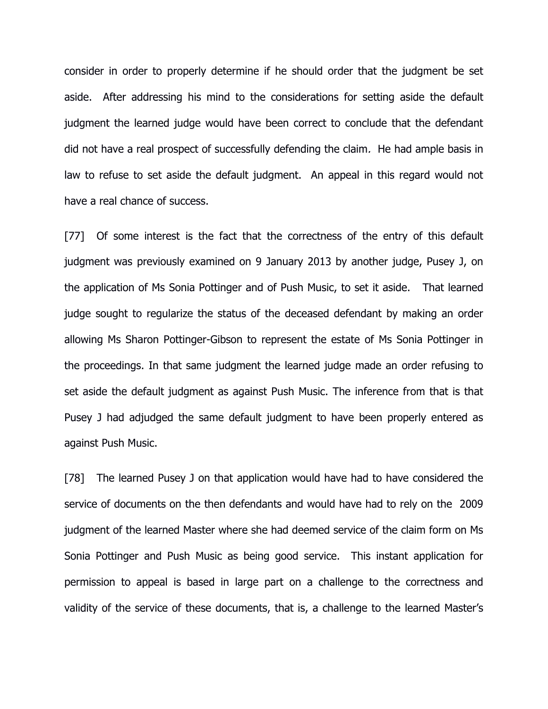consider in order to properly determine if he should order that the judgment be set aside. After addressing his mind to the considerations for setting aside the default judgment the learned judge would have been correct to conclude that the defendant did not have a real prospect of successfully defending the claim. He had ample basis in law to refuse to set aside the default judgment. An appeal in this regard would not have a real chance of success.

[77] Of some interest is the fact that the correctness of the entry of this default judgment was previously examined on 9 January 2013 by another judge, Pusey J, on the application of Ms Sonia Pottinger and of Push Music, to set it aside. That learned judge sought to regularize the status of the deceased defendant by making an order allowing Ms Sharon Pottinger-Gibson to represent the estate of Ms Sonia Pottinger in the proceedings. In that same judgment the learned judge made an order refusing to set aside the default judgment as against Push Music. The inference from that is that Pusey J had adjudged the same default judgment to have been properly entered as against Push Music.

[78] The learned Pusey J on that application would have had to have considered the service of documents on the then defendants and would have had to rely on the 2009 judgment of the learned Master where she had deemed service of the claim form on Ms Sonia Pottinger and Push Music as being good service. This instant application for permission to appeal is based in large part on a challenge to the correctness and validity of the service of these documents, that is, a challenge to the learned Master's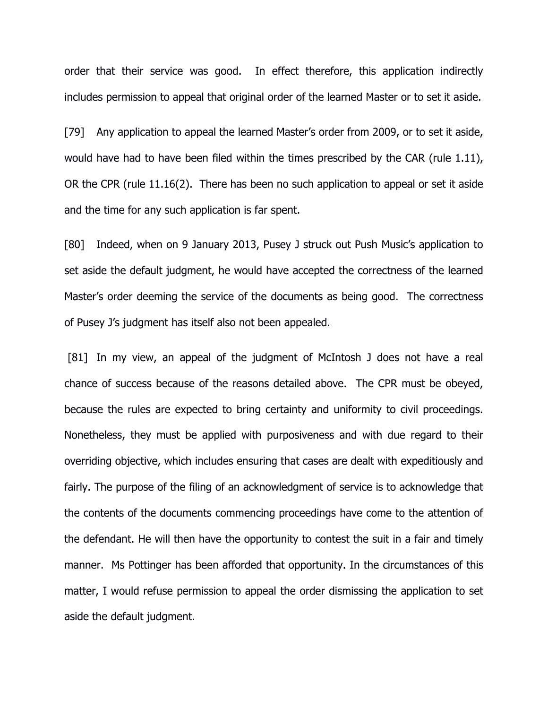order that their service was good. In effect therefore, this application indirectly includes permission to appeal that original order of the learned Master or to set it aside.

[79] Any application to appeal the learned Master's order from 2009, or to set it aside, would have had to have been filed within the times prescribed by the CAR (rule 1.11), OR the CPR (rule 11.16(2). There has been no such application to appeal or set it aside and the time for any such application is far spent.

[80] Indeed, when on 9 January 2013, Pusey J struck out Push Music's application to set aside the default judgment, he would have accepted the correctness of the learned Master's order deeming the service of the documents as being good. The correctness of Pusey J's judgment has itself also not been appealed.

 [81] In my view, an appeal of the judgment of McIntosh J does not have a real chance of success because of the reasons detailed above. The CPR must be obeyed, because the rules are expected to bring certainty and uniformity to civil proceedings. Nonetheless, they must be applied with purposiveness and with due regard to their overriding objective, which includes ensuring that cases are dealt with expeditiously and fairly. The purpose of the filing of an acknowledgment of service is to acknowledge that the contents of the documents commencing proceedings have come to the attention of the defendant. He will then have the opportunity to contest the suit in a fair and timely manner. Ms Pottinger has been afforded that opportunity. In the circumstances of this matter, I would refuse permission to appeal the order dismissing the application to set aside the default judgment.